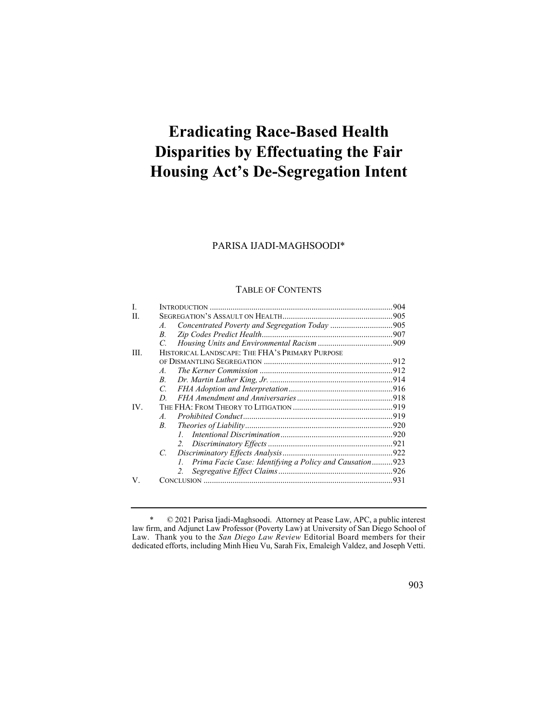# **Eradicating Race-Based Health Disparities by Effectuating the Fair Housing Act's De-Segregation Intent**

# PARISA IJADI-MAGHSOODI\*

### TABLE OF CONTENTS

| H.  |                                                              |  |
|-----|--------------------------------------------------------------|--|
|     | A.                                                           |  |
|     | B.                                                           |  |
|     | C.                                                           |  |
| HL. | HISTORICAL LANDSCAPE: THE FHA'S PRIMARY PURPOSE              |  |
|     |                                                              |  |
|     | $\overline{A}$                                               |  |
|     | $B_{\cdot}$                                                  |  |
|     | $\overline{C}$                                               |  |
|     | D.                                                           |  |
| IV. |                                                              |  |
|     | $\overline{A}$                                               |  |
|     | $B_{\cdot}$                                                  |  |
|     |                                                              |  |
|     |                                                              |  |
|     | $C_{\cdot}$                                                  |  |
|     | Prima Facie Case: Identifying a Policy and Causation923<br>L |  |
|     | 2.                                                           |  |
| V.  |                                                              |  |

<sup>\* © 2021</sup> Parisa Ijadi-Maghsoodi. Attorney at Pease Law, APC, a public interest law firm, and Adjunct Law Professor (Poverty Law) at University of San Diego School of Law. Thank you to the *San Diego Law Review* Editorial Board members for their dedicated efforts, including Minh Hieu Vu, Sarah Fix, Emaleigh Valdez, and Joseph Vetti.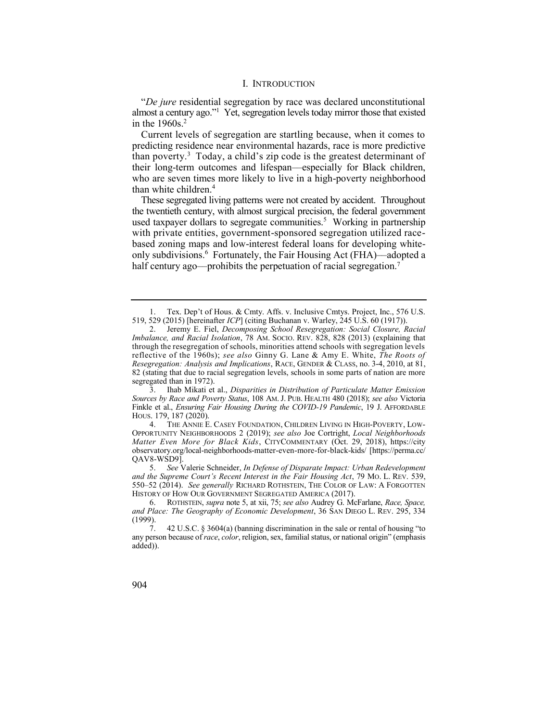#### I. INTRODUCTION

 almost a century ago."1 Yet, segregation levels today mirror those that existed "*De jure* residential segregation by race was declared unconstitutional in the  $1960s.<sup>2</sup>$ 

 Current levels of segregation are startling because, when it comes to than poverty. $3$  Today, a child's zip code is the greatest determinant of predicting residence near environmental hazards, race is more predictive their long-term outcomes and lifespan––especially for Black children, who are seven times more likely to live in a high-poverty neighborhood than white children.4

 These segregated living patterns were not created by accident. Throughout used taxpayer dollars to segregate communities.<sup>5</sup> Working in partnership only subdivisions.6 Fortunately, the Fair Housing Act (FHA)––adopted a the twentieth century, with almost surgical precision, the federal government with private entities, government-sponsored segregation utilized racebased zoning maps and low-interest federal loans for developing whitehalf century ago—prohibits the perpetuation of racial segregation.<sup>7</sup>

 1. Tex. Dep't of Hous. & Cmty. Affs. v. Inclusive Cmtys. Project, Inc., 576 U.S. 519, 529 (2015) [hereinafter *ICP*] (citing Buchanan v. Warley, 245 U.S. 60 (1917)).

 2. Jeremy E. Fiel, *Decomposing School Resegregation: Social Closure, Racial Imbalance, and Racial Isolation*, 78 AM. SOCIO. REV. 828, 828 (2013) (explaining that through the resegregation of schools, minorities attend schools with segregation levels reflective of the 1960s); *see also* Ginny G. Lane & Amy E. White, *The Roots of Resegregation: Analysis and Implications*, RACE, GENDER & CLASS, no. 3-4, 2010, at 81, 82 (stating that due to racial segregation levels, schools in some parts of nation are more segregated than in 1972).

 3. Ihab Mikati et al., *Disparities in Distribution of Particulate Matter Emission Sources by Race and Poverty Status*, 108 AM. J. PUB. HEALTH 480 (2018); *see also* Victoria Finkle et al., *Ensuring Fair Housing During the COVID-19 Pandemic*, 19 J. AFFORDABLE HOUS. 179, 187 (2020).

 *Matter Even More for Black Kids*, CITYCOMMENTARY (Oct. 29, 2018), <https://city> 4. THE ANNIE E. CASEY FOUNDATION, CHILDREN LIVING IN HIGH-POVERTY, LOW-OPPORTUNITY NEIGHBORHOODS 2 (2019); *see also* Joe Cortright, *Local Neighborhoods*  [observatory.org/local-neighborhoods-matter-even-more-for-black-kids/](https://observatory.org/local-neighborhoods-matter-even-more-for-black-kids) [[https://perma.cc/](https://perma.cc) QAV8-WSD9].

 5. *See* Valerie Schneider, *In Defense of Disparate Impact: Urban Redevelopment and the Supreme Court's Recent Interest in the Fair Housing Act*, 79 MO. L. REV. 539, 550–52 (2014). *See generally* RICHARD ROTHSTEIN, THE COLOR OF LAW: A FORGOTTEN HISTORY OF HOW OUR GOVERNMENT SEGREGATED AMERICA (2017).

 6. ROTHSTEIN, *supra* note 5, at xii, 75; *see also* Audrey G. McFarlane, *Race, Space, and Place: The Geography of Economic Development*, 36 SAN DIEGO L. REV. 295, 334 (1999).

 7. 42 U.S.C. § 3604(a) (banning discrimination in the sale or rental of housing "to any person because of *race*, *color*, religion, sex, familial status, or national origin" (emphasis added)).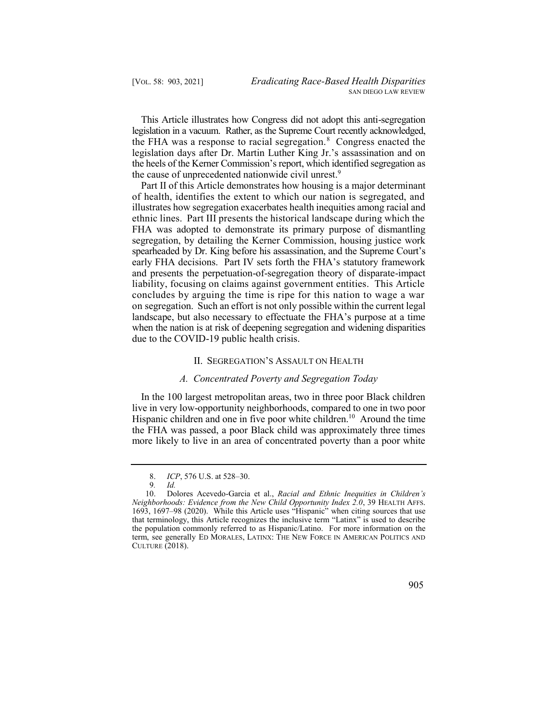This Article illustrates how Congress did not adopt this anti-segregation the FHA was a response to racial segregation.<sup>8</sup> Congress enacted the legislation in a vacuum. Rather, as the Supreme Court recently acknowledged, legislation days after Dr. Martin Luther King Jr.'s assassination and on the heels of the Kerner Commission's report, which identified segregation as the cause of unprecedented nationwide civil unrest.<sup>9</sup>

 Part II of this Article demonstrates how housing is a major determinant of health, identifies the extent to which our nation is segregated, and illustrates how segregation exacerbates health inequities among racial and ethnic lines. Part III presents the historical landscape during which the FHA was adopted to demonstrate its primary purpose of dismantling segregation, by detailing the Kerner Commission, housing justice work spearheaded by Dr. King before his assassination, and the Supreme Court's early FHA decisions. Part IV sets forth the FHA's statutory framework and presents the perpetuation-of-segregation theory of disparate-impact liability, focusing on claims against government entities. This Article concludes by arguing the time is ripe for this nation to wage a war on segregation. Such an effort is not only possible within the current legal landscape, but also necessary to effectuate the FHA's purpose at a time when the nation is at risk of deepening segregation and widening disparities due to the COVID-19 public health crisis.

## II. SEGREGATION'S ASSAULT ON HEALTH

## *A. Concentrated Poverty and Segregation Today*

 In the 100 largest metropolitan areas, two in three poor Black children Hispanic children and one in five poor white children.<sup>10</sup> Around the time live in very low-opportunity neighborhoods, compared to one in two poor the FHA was passed, a poor Black child was approximately three times more likely to live in an area of concentrated poverty than a poor white

 8. *ICP*, 576 U.S. at 528–30.

<sup>9</sup>*. Id.* 

 10. Dolores Acevedo-Garcia et al., *Racial and Ethnic Inequities in Children's Neighborhoods: Evidence from the New Child Opportunity Index 2.0*, 39 HEALTH AFFS. 1693, 1697–98 (2020). While this Article uses "Hispanic" when citing sources that use that terminology, this Article recognizes the inclusive term "Latinx" is used to describe the population commonly referred to as Hispanic/Latino. For more information on the term, see generally ED MORALES, LATINX: THE NEW FORCE IN AMERICAN POLITICS AND CULTURE (2018).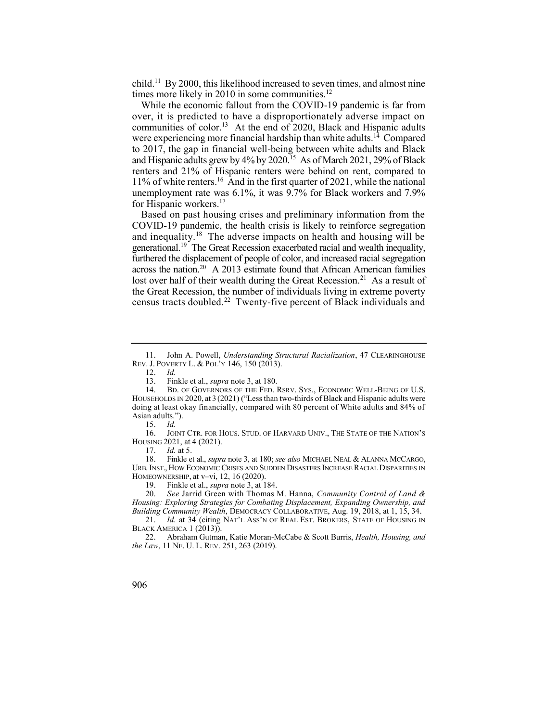child.<sup>11</sup> By 2000, this likelihood increased to seven times, and almost nine times more likely in 2010 in some communities. $^{12}$ 

 While the economic fallout from the COVID-19 pandemic is far from communities of color.<sup>13</sup> At the end of 2020, Black and Hispanic adults were experiencing more financial hardship than white adults.<sup>14</sup> Compared and Hispanic adults grew by 4% by 2020.<sup>15</sup> As of March 2021, 29% of Black 11% of white renters.<sup>16</sup> And in the first quarter of 2021, while the national over, it is predicted to have a disproportionately adverse impact on to 2017, the gap in financial well-being between white adults and Black renters and 21% of Hispanic renters were behind on rent, compared to unemployment rate was 6.1%, it was 9.7% for Black workers and 7.9% for Hispanic workers.<sup>17</sup>

 Based on past housing crises and preliminary information from the and inequality.<sup>18</sup> The adverse impacts on health and housing will be generational.<sup>19</sup> The Great Recession exacerbated racial and wealth inequality, across the nation.<sup>20</sup> A 2013 estimate found that African American families lost over half of their wealth during the Great Recession.<sup>21</sup> As a result of census tracts doubled.<sup>22</sup> Twenty-five percent of Black individuals and COVID-19 pandemic, the health crisis is likely to reinforce segregation furthered the displacement of people of color, and increased racial segregation the Great Recession, the number of individuals living in extreme poverty

16. JOINT CTR. FOR HOUS. STUD. OF HARVARD UNIV., THE STATE OF THE NATION'S HOUSING 2021, at 4 (2021).

17. *Id.* at 5.

 18. Finkle et al., *supra* note 3, at 180; *see also* MICHAEL NEAL & ALANNA MCCARGO, URB. INST., HOW ECONOMIC CRISES AND SUDDEN DISASTERS INCREASE RACIAL DISPARITIES IN HOMEOWNERSHIP, at v–vi, 12, 16 (2020).

19. Finkle et al., *supra* note 3, at 184.

 20. *See* Jarrid Green with Thomas M. Hanna, *Community Control of Land & Housing: Exploring Strategies for Combating Displacement, Expanding Ownership, and Building Community Wealth*, DEMOCRACY COLLABORATIVE, Aug. 19, 2018, at 1, 15, 34.

21. *Id.* at 34 (citing NAT'L Ass'N OF REAL EST. BROKERS, STATE OF HOUSING IN BLACK AMERICA 1 (2013)).

 22. Abraham Gutman, Katie Moran-McCabe & Scott Burris, *Health, Housing, and the Law*, 11 NE. U. L. REV. 251, 263 (2019).

 11. John A. Powell, *Understanding Structural Racialization*, 47 CLEARINGHOUSE REV. J. POVERTY L. & POL'Y 146, 150 (2013).

<sup>12.</sup> *Id.* 

<sup>13.</sup> Finkle et al., *supra* note 3, at 180.

 14. BD. OF GOVERNORS OF THE FED. RSRV. SYS., ECONOMIC WELL-BEING OF U.S. HOUSEHOLDS IN 2020, at 3 (2021) ("Less than two-thirds of Black and Hispanic adults were doing at least okay financially, compared with 80 percent of White adults and 84% of Asian adults.").

<sup>15.</sup> *Id.*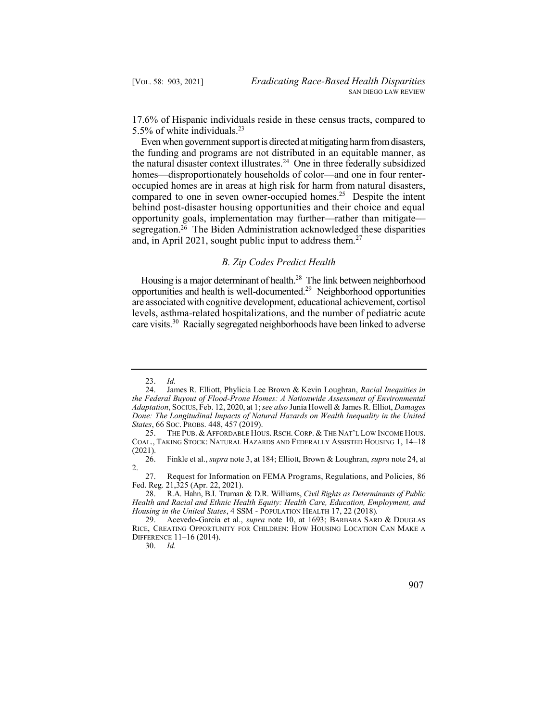17.6% of Hispanic individuals reside in these census tracts, compared to 5.5% of white [individuals.23](https://individuals.23)

 Even when government support is directed at mitigating harm from disasters, the natural disaster context illustrates.<sup>24</sup> One in three federally subsidized compared to one in seven owner-occupied homes.<sup>25</sup> Despite the intent segregation.<sup>26</sup> The Biden Administration acknowledged these disparities the funding and programs are not distributed in an equitable manner, as homes—disproportionately households of color—and one in four renteroccupied homes are in areas at high risk for harm from natural disasters, behind post-disaster housing opportunities and their choice and equal opportunity goals, implementation may further––rather than mitigate–– and, in April 2021, sought public input to address them.<sup>27</sup>

## *B. Zip Codes Predict Health*

Housing is a major determinant of health.<sup>28</sup> The link between neighborhood opportunities and health is [well-documented.29](https://well-documented.29) Neighborhood opportunities care visits.<sup>30</sup> Racially segregated neighborhoods have been linked to adverse are associated with cognitive development, educational achievement, cortisol levels, asthma-related hospitalizations, and the number of pediatric acute

30. *Id.* 

<sup>23.</sup> *Id.* 

 24. James R. Elliott, Phylicia Lee Brown & Kevin Loughran, *Racial Inequities in the Federal Buyout of Flood-Prone Homes: A Nationwide Assessment of Environmental Adaptation*, SOCIUS, Feb. 12, 2020, at 1; *see also* Junia Howell & James R. Elliot, *Damages Done: The Longitudinal Impacts of Natural Hazards on Wealth Inequality in the United States*, 66 SOC. PROBS. 448, 457 (2019).

<sup>25.</sup> THE PUB. & AFFORDABLE HOUS. RSCH. CORP. & THE NAT'L LOW INCOME HOUS. COAL., TAKING STOCK: NATURAL HAZARDS AND FEDERALLY ASSISTED HOUSING 1, 14–18  $(2021).$ <br>26.

 26. Finkle et al., *supra* note 3, at 184; Elliott, Brown & Loughran, *supra* note 24, at 2.

 27. Request for Information on FEMA Programs, Regulations, and Policies, 86 Fed. Reg. 21,325 (Apr. 22, 2021).

 28. R.A. Hahn, B.I. Truman & D.R. Williams, *Civil Rights as Determinants of Public Health and Racial and Ethnic Health Equity: Health Care, Education, Employment, and Housing in the United States*,  $4$  SSM - POPULATION HEALTH 17, 22 (2018). <br>29. Acevedo-Garcia et al., *supra* note 10, at 1693; BARBARA SARI

<sup>29.</sup> Acevedo-Garcia et al., *supra* note 10, at 1693; BARBARA SARD & DOUGLAS RICE, CREATING OPPORTUNITY FOR CHILDREN: HOW HOUSING LOCATION CAN MAKE A DIFFERENCE 11–16 (2014).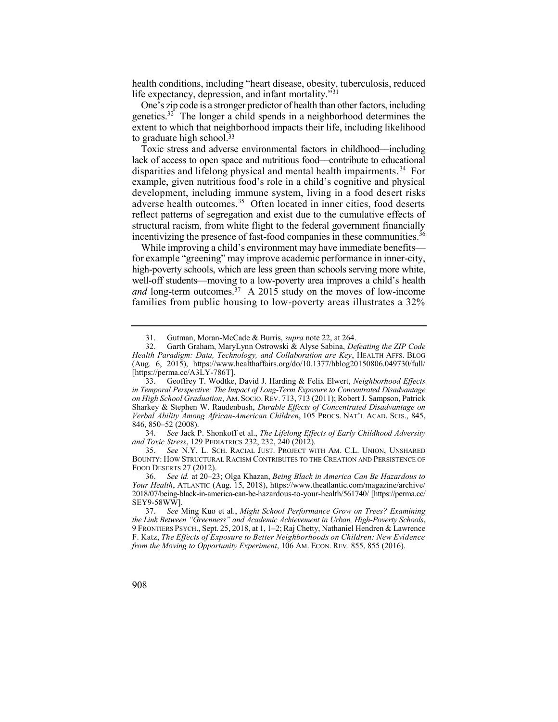health conditions, including "heart disease, obesity, tuberculosis, reduced life expectancy, depression, and infant mortality."<sup>31</sup>

 One's zip code is a stronger predictor of health than other factors, including genetics.<sup>32</sup> The longer a child spends in a neighborhood determines the extent to which that neighborhood impacts their life, including likelihood to graduate high school.<sup>33</sup>

 Toxic stress and adverse environmental factors in childhood––including disparities and lifelong physical and mental health impairments.<sup>34</sup> For adverse health outcomes. $35$  Often located in inner cities, food deserts incentivizing the presence of fast-food companies in these communities.<sup>36</sup> lack of access to open space and nutritious food––contribute to educational example, given nutritious food's role in a child's cognitive and physical development, including immune system, living in a food desert risks reflect patterns of segregation and exist due to the cumulative effects of structural racism, from white flight to the federal government financially

 While improving a child's environment may have immediate benefits— *and* long-term [outcomes.37](https://outcomes.37) A 2015 study on the moves of low-income for example "greening" may improve academic performance in inner-city, high-poverty schools, which are less green than schools serving more white, well-off students—moving to a low-poverty area improves a child's health families from public housing to low-poverty areas illustrates a 32%

 34. *See* Jack P. Shonkoff et al., *The Lifelong Effects of Early Childhood Adversity and Toxic Stress*, 129 PEDIATRICS 232, 232, 240 (2012).

 35. *See* N.Y. L. SCH. RACIAL JUST. PROJECT WITH AM. C.L. UNION, UNSHARED BOUNTY: HOW STRUCTURAL RACISM CONTRIBUTES TO THE CREATION AND PERSISTENCE OF FOOD DESERTS 27 (2012).

 36. *See id.* at 20–23; Olga Khazan, *Being Black in America Can Be Hazardous to Your Health*, ATLANTIC (Aug. 15, 2018), <https://www.theatlantic.com/magazine/archive>/ 2018/07/being-black-in-america-can-be-hazardous-to-your-health/561740/ [\[https://perma.cc/](https://perma.cc) SEY9-58WW].

 31. Gutman, Moran-McCade & Burris, *supra* note 22, at 264.

 32. Garth Graham, MaryLynn Ostrowski & Alyse Sabina, *Defeating the ZIP Code*  (Aug. 6, 2015), <https://www.healthaffairs.org/do/10.1377/hblog20150806.049730/full>/ *Health Paradigm: Data, Technology, and Collaboration are Key*, HEALTH AFFS. BLOG [<https://perma.cc/A3LY-786T>].

 33. Geoffrey T. Wodtke, David J. Harding & Felix Elwert, *Neighborhood Effects in Temporal Perspective: The Impact of Long-Term Exposure to Concentrated Disadvantage on High School Graduation*, AM. SOCIO. REV. 713, 713 (2011); Robert J. Sampson, Patrick Sharkey & Stephen W. Raudenbush, *Durable Effects of Concentrated Disadvantage on Verbal Ability Among African-American Children*, 105 PROCS. NAT'L ACAD. SCIS., 845, 846, 850–52 (2008).

 37. *See* Ming Kuo et al., *Might School Performance Grow on Trees? Examining*  F. Katz, *The Effects of Exposure to Better Neighborhoods on Children: New Evidence the Link Between "Greenness" and Academic Achievement in Urban, High-Poverty Schools*, 9 FRONTIERS PSYCH., Sept. 25, 2018, at 1, 1–2; Raj Chetty, Nathaniel Hendren & Lawrence *from the Moving to Opportunity Experiment*, 106 AM. ECON. REV. 855, 855 (2016).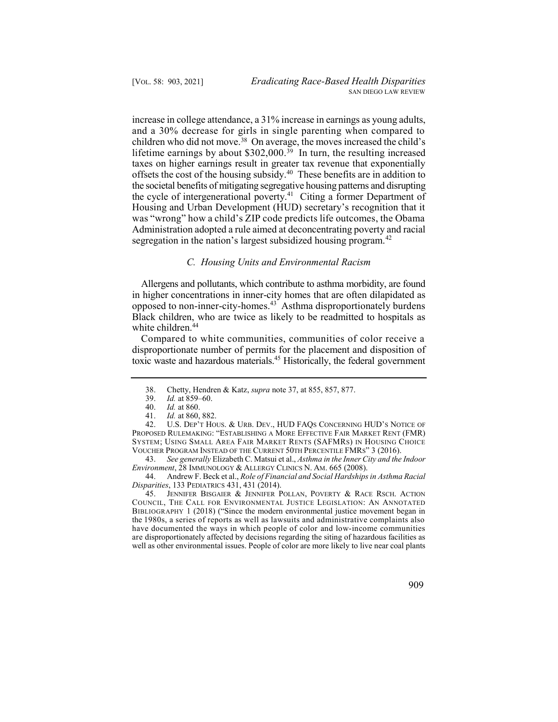increase in college attendance, a 31% increase in earnings as young adults, lifetime earnings by about \$302,000.<sup>39</sup> In turn, the resulting increased offsets the cost of the housing subsidy.<sup>40</sup> These benefits are in addition to the cycle of intergenerational poverty.<sup>41</sup> Citing a former Department of Housing and Urban Development (HUD) secretary's recognition that it Administration adopted a rule aimed at deconcentrating poverty and racial and a 30% decrease for girls in single parenting when compared to children who did not move.38 On average, the moves increased the child's taxes on higher earnings result in greater tax revenue that exponentially the societal benefits of mitigating segregative housing patterns and disrupting was "wrong" how a child's ZIP code predicts life outcomes, the Obama segregation in the nation's largest subsidized housing [program.](https://program.42)<sup>42</sup>

#### *C. Housing Units and Environmental Racism*

 Allergens and pollutants, which contribute to asthma morbidity, are found opposed to non-inner-city-homes.<sup>43</sup> Asthma disproportionately burdens in higher concentrations in inner-city homes that are often dilapidated as Black children, who are twice as likely to be readmitted to hospitals as white children.<sup>44</sup>

 Compared to white communities, communities of color receive a toxic waste and hazardous materials.<sup>45</sup> Historically, the federal government disproportionate number of permits for the placement and disposition of

39. *Id.* at 859–60.<br>40. *Id.* at 860.

<sup>45.</sup> JENNIFER BISGAIER & JENNIFER POLLAN, POVERTY & RACE RSCH. ACTION COUNCIL, THE CALL FOR ENVIRONMENTAL JUSTICE LEGISLATION: AN ANNOTATED BIBLIOGRAPHY 1 (2018) ("Since the modern environmental justice movement began in the 1980s, a series of reports as well as lawsuits and administrative complaints also have documented the ways in which people of color and low-income communities are disproportionately affected by decisions regarding the siting of hazardous facilities as well as other environmental issues. People of color are more likely to live near coal plants



 38. Chetty, Hendren & Katz, *supra* note 37, at 855, 857, 877.

*Id.* at 860.

<sup>41.</sup> *Id.* at 860, 882.

 42. U.S. DEP'T HOUS. & URB. DEV., HUD FAQS CONCERNING HUD'S NOTICE OF PROPOSED RULEMAKING: "ESTABLISHING A MORE EFFECTIVE FAIR MARKET RENT (FMR) SYSTEM; USING SMALL AREA FAIR MARKET RENTS (SAFMRS) IN HOUSING CHOICE VOUCHER PROGRAM INSTEAD OF THE CURRENT 50TH PERCENTILE FMRS" 3 (2016).

 43. *See generally* Elizabeth C. Matsui et al., *Asthma in the Inner City and the Indoor Environment*, 28 IMMUNOLOGY & ALLERGY CLINICS N. AM. 665 (2008).

 44. Andrew F. Beck et al., *Role of Financial and Social Hardships in Asthma Racial Disparities*, 133 PEDIATRICS 431, 431 (2014).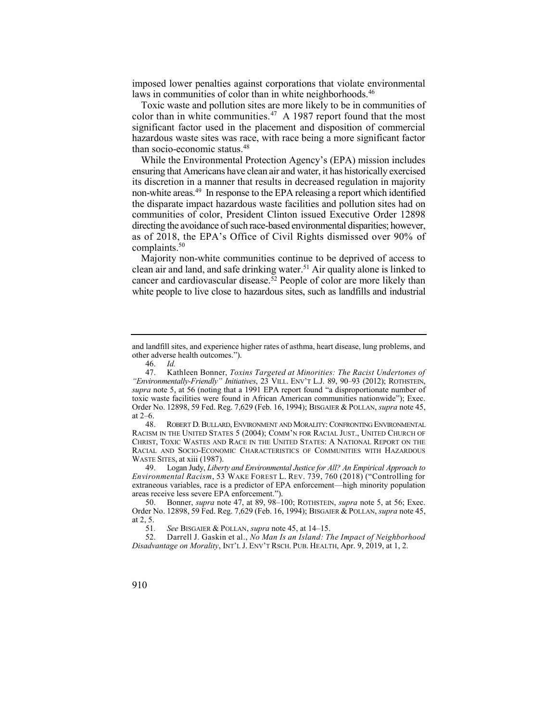imposed lower penalties against corporations that violate environmental laws in communities of color than in white neighborhoods.<sup>46</sup>

color than in white communities.<sup>47</sup> A 1987 report found that the most Toxic waste and pollution sites are more likely to be in communities of significant factor used in the placement and disposition of commercial hazardous waste sites was race, with race being a more significant factor than socio-economic status.<sup>48</sup>

non-white areas.<sup>49</sup> In response to the EPA releasing a report which identified While the Environmental Protection Agency's (EPA) mission includes ensuring that Americans have clean air and water, it has historically exercised its discretion in a manner that results in decreased regulation in majority the disparate impact hazardous waste facilities and pollution sites had on communities of color, President Clinton issued Executive Order 12898 directing the avoidance of such race-based environmental disparities; however, as of 2018, the EPA's Office of Civil Rights dismissed over 90% of complaints.<sup>50</sup>

clean air and land, and safe drinking water.<sup>51</sup> Air quality alone is linked to cancer and cardiovascular [disease.52](https://disease.52) People of color are more likely than Majority non-white communities continue to be deprived of access to white people to live close to hazardous sites, such as landfills and industrial

 48. ROBERT D. BULLARD, ENVIRONMENT AND MORALITY: CONFRONTING ENVIRONMENTAL RACISM IN THE UNITED STATES 5 (2004); COMM'N FOR RACIAL JUST., UNITED CHURCH OF CHRIST, TOXIC WASTES AND RACE IN THE UNITED STATES: A NATIONAL REPORT ON THE RACIAL AND SOCIO-ECONOMIC CHARACTERISTICS OF COMMUNITIES WITH HAZARDOUS WASTE SITES, at xiii (1987).

 49. Logan Judy, *Liberty and Environmental Justice for All? An Empirical Approach to Environmental Racism*, 53 WAKE FOREST L. REV. 739, 760 (2018) ("Controlling for extraneous variables, race is a predictor of EPA enforcement––high minority population areas receive less severe EPA enforcement.").

 and landfill sites, and experience higher rates of asthma, heart disease, lung problems, and other adverse health outcomes.").

<sup>46.</sup> *Id.* 

 47. Kathleen Bonner, *Toxins Targeted at Minorities: The Racist Undertones of "Environmentally-Friendly" Initiatives*, 23 VILL. ENV'T L.J. 89, 90–93 (2012); ROTHSTEIN, *supra* note 5, at 56 (noting that a 1991 EPA report found "a disproportionate number of toxic waste facilities were found in African American communities nationwide"); Exec. Order No. 12898, 59 Fed. Reg. 7,629 (Feb. 16, 1994); BISGAIER & POLLAN, *supra* note 45, at 2–6.

 50. Bonner, *supra* note 47, at 89, 98–100; ROTHSTEIN, *supra* note 5, at 56; Exec. Order No. 12898, 59 Fed. Reg. 7,629 (Feb. 16, 1994); BISGAIER & POLLAN, *supra* note 45, at  $2, 5.$ <br>51.

<sup>51</sup>*. See* BISGAIER & POLLAN, *supra* note 45, at 14–15.

 52. Darrell J. Gaskin et al., *No Man Is an Island: The Impact of Neighborhood Disadvantage on Morality*, INT'L J. ENV'T RSCH. PUB. HEALTH, Apr. 9, 2019, at 1, 2.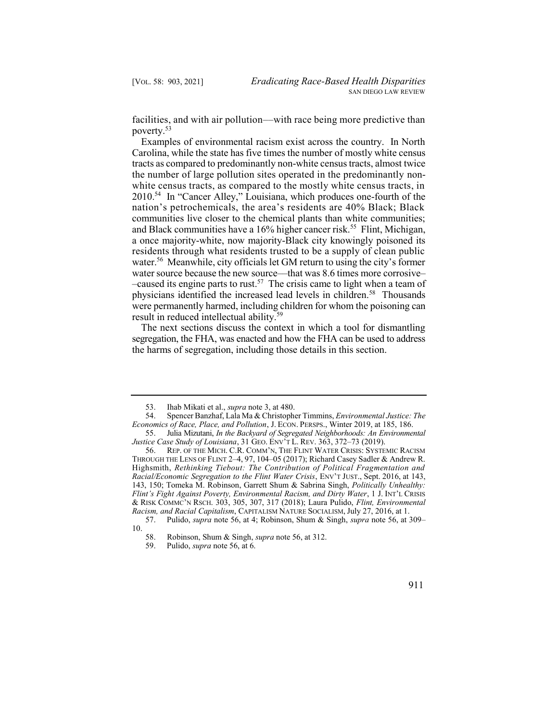facilities, and with air pollution—with race being more predictive than [poverty.53](https://poverty.53)

 Examples of environmental racism exist across the country. In North Carolina, while the state has five times the number of mostly white census tracts as compared to predominantly non-white census tracts, almost twice the number of large pollution sites operated in the predominantly non- 2010.54 In "Cancer Alley," Louisiana, which produces one-fourth of the and Black communities have a 16% higher cancer risk.<sup>55</sup> Flint, Michigan, [water.56](https://water.56) Meanwhile, city officials let GM return to using the city's former –caused its engine parts to rust.<sup>57</sup> The crisis came to light when a team of physicians identified the increased lead levels in children.<sup>58</sup> Thousands white census tracts, as compared to the mostly white census tracts, in nation's petrochemicals, the area's residents are 40% Black; Black communities live closer to the chemical plants than white communities; a once majority-white, now majority-Black city knowingly poisoned its residents through what residents trusted to be a supply of clean public water source because the new source—that was 8.6 times more corrosive were permanently harmed, including children for whom the poisoning can result in reduced intellectual ability.<sup>59</sup>

 The next sections discuss the context in which a tool for dismantling segregation, the FHA, was enacted and how the FHA can be used to address the harms of segregation, including those details in this section.

 53. Ihab Mikati et al., *supra* note 3, at 480.

 54. Spencer Banzhaf, Lala Ma & Christopher Timmins, *Environmental Justice: The Economics of Race, Place, and Pollution*, J. ECON. PERSPS., Winter 2019, at 185, 186.

 55. Julia Mizutani, *In the Backyard of Segregated Neighborhoods: An Environmental Justice Case Study of Louisiana*, 31 GEO. ENV'T L. REV. 363, 372–73 (2019).

 56. REP. OF THE MICH. C.R. COMM'N, THE FLINT WATER CRISIS: SYSTEMIC RACISM THROUGH THE LENS OF FLINT 2–4, 97, 104–05 (2017); Richard Casey Sadler & Andrew R. Highsmith, *Rethinking Tiebout: The Contribution of Political Fragmentation and Racial/Economic Segregation to the Flint Water Crisis*, ENV'T JUST., Sept. 2016, at 143, 143, 150; Tomeka M. Robinson, Garrett Shum & Sabrina Singh, *Politically Unhealthy: Flint's Fight Against Poverty, Environmental Racism, and Dirty Water*, 1 J. INT'L CRISIS & RISK COMMC'N RSCH. 303, 305, 307, 317 (2018); Laura Pulido, *Flint, Environmental Racism, and Racial Capitalism*, CAPITALISM NATURE SOCIALISM, July 27, 2016, at 1.

 57. Pulido, *supra* note 56, at 4; Robinson, Shum & Singh, *supra* note 56, at 309– 10.

 58. Robinson, Shum & Singh, *supra* note 56, at 312.

<sup>59.</sup> Pulido, *supra* note 56, at 6.

<sup>911</sup>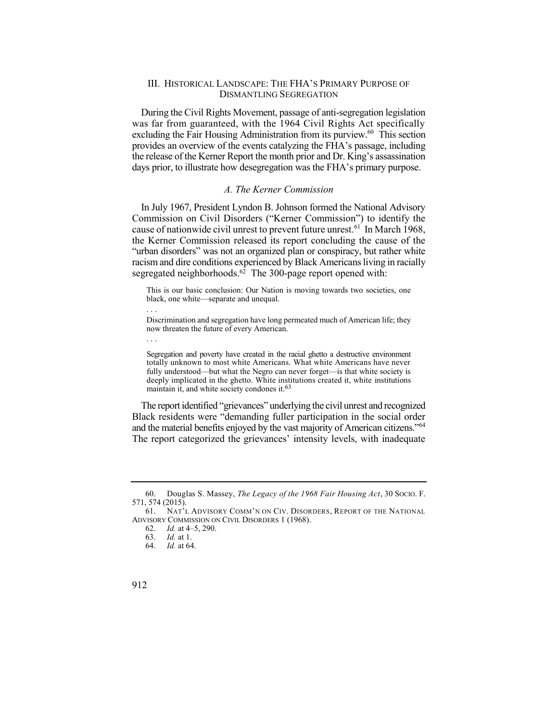## III. HISTORICAL LANDSCAPE: THE FHA'S PRIMARY PURPOSE OF DISMANTLING SEGREGATION

 During the Civil Rights Movement, passage of anti-segregation legislation excluding the Fair Housing Administration from its purview.<sup>60</sup> This section the release of the Kerner Report the month prior and Dr. King's assassination days prior, to illustrate how desegregation was the FHA's primary purpose. was far from guaranteed, with the 1964 Civil Rights Act specifically provides an overview of the events catalyzing the FHA's passage, including

## *A. The Kerner Commission*

 In July 1967, President Lyndon B. Johnson formed the National Advisory Commission on Civil Disorders ("Kerner Commission") to identify the cause of nationwide civil unrest to prevent future unrest.<sup>61</sup> In March 1968, "urban disorders" was not an organized plan or conspiracy, but rather white segregated neighborhoods.<sup>62</sup> The 300-page report opened with: the Kerner Commission released its report concluding the cause of the racism and dire conditions experienced by Black Americans living in racially

 This is our basic conclusion: Our Nation is moving towards two societies, one black, one white—separate and unequal.

Discrimination and segregation have long permeated much of American life; they now threaten the future of every American.

 Segregation and poverty have created in the racial ghetto a destructive environment totally unknown to most white Americans. What white Americans have never fully understood—but what the Negro can never forget—is that white society is deeply implicated in the ghetto. White institutions created it, white institutions maintain it, and white society condones it.<sup>63</sup>

 The report identified "grievances" underlying the civil unrest and recognized and the material benefits enjoyed by the vast majority of American citizens."<sup>64</sup> The report categorized the grievances' intensity levels, with inadequate Black residents were "demanding fuller participation in the social order

. . .

. . .

 60. Douglas S. Massey, *The Legacy of the 1968 Fair Housing Act*, 30 SOCIO. F. 571, 574 (2015).<br>61. NAT'I

 61. NAT'L ADVISORY COMM'N ON CIV. DISORDERS, REPORT OF THE NATIONAL ADVISORY COMMISSION ON CIVIL DISORDERS 1 (1968).

<sup>62.</sup> *Id.* at 4–5, 290.

<sup>63.</sup> *Id.* at 1.

<sup>64.</sup> *Id.* at 64.

<sup>912</sup>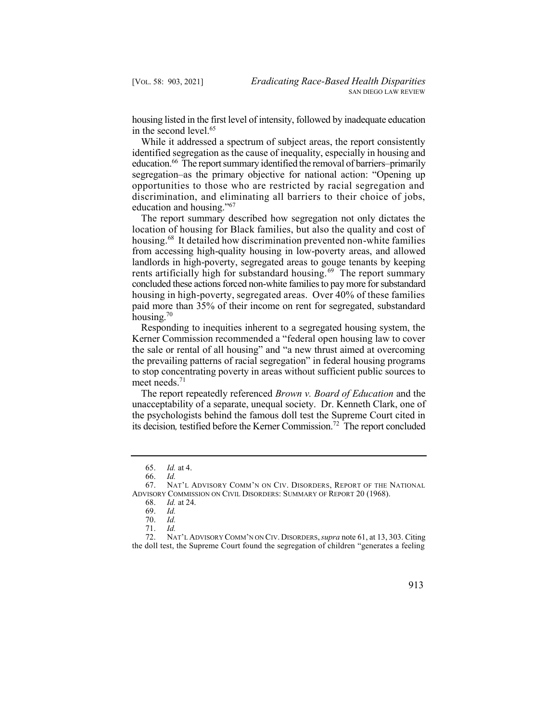housing listed in the first level of intensity, followed by inadequate education in the second level.<sup>65</sup>

 While it addressed a spectrum of subject areas, the report consistently identified segregation as the cause of inequality, especially in housing and education.<sup>66</sup> The report summary identified the removal of barriers–primarily segregation–as the primary objective for national action: "Opening up opportunities to those who are restricted by racial segregation and discrimination, and eliminating all barriers to their choice of jobs, education and housing."<sup>67</sup>

 The report summary described how segregation not only dictates the location of housing for Black families, but also the quality and cost of housing.<sup>68</sup> It detailed how discrimination prevented non-white families rents artificially high for substandard housing.<sup>69</sup> The report summary from accessing high-quality housing in low-poverty areas, and allowed landlords in high-poverty, segregated areas to gouge tenants by keeping concluded these actions forced non-white families to pay more for substandard housing in high-poverty, segregated areas. Over 40% of these families paid more than 35% of their income on rent for segregated, substandard housing. $70$ 

 Responding to inequities inherent to a segregated housing system, the Kerner Commission recommended a "federal open housing law to cover the sale or rental of all housing" and "a new thrust aimed at overcoming the prevailing patterns of racial segregation" in federal housing programs to stop concentrating poverty in areas without sufficient public sources to meet needs.<sup>71</sup>

 The report repeatedly referenced *Brown v. Board of Education* and the its decision*,* testified before the Kerner [Commission.72](https://Commission.72) The report concluded unacceptability of a separate, unequal society. Dr. Kenneth Clark, one of the psychologists behind the famous doll test the Supreme Court cited in

 72. NAT'L ADVISORY COMM'N ON CIV. DISORDERS, *supra* note 61, at 13, 303. Citing the doll test, the Supreme Court found the segregation of children "generates a feeling



<sup>65.</sup> *Id.* at 4.

<sup>66.</sup> *Id.* 

 67. NAT'L ADVISORY COMM'N ON CIV. DISORDERS, REPORT OF THE NATIONAL ADVISORY COMMISSION ON CIVIL DISORDERS: SUMMARY OF REPORT 20 (1968).

<sup>68.</sup> *Id.* at 24.

<sup>69.</sup> *Id.*  70. *Id.* 

<sup>71.</sup> *Id.*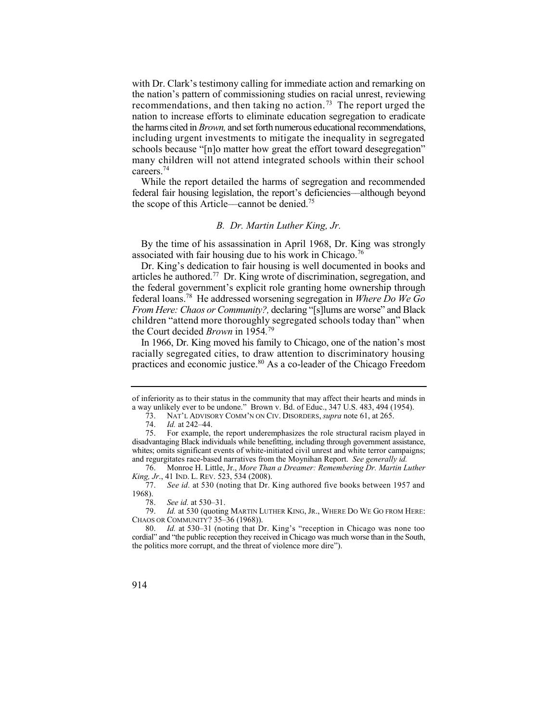with Dr. Clark's testimony calling for immediate action and remarking on recommendations, and then taking no [action.](https://action.73)<sup>73</sup> The report urged the schools because "[n]o matter how great the effort toward desegregation" many children will not attend integrated schools within their school the nation's pattern of commissioning studies on racial unrest, reviewing nation to increase efforts to eliminate education segregation to eradicate the harms cited in *Brown,* and set forth numerous educational recommendations, including urgent investments to mitigate the inequality in segregated careers. 74

 federal fair housing legislation, the report's deficiencies––although beyond the scope of this Article––cannot be [denied.75](https://denied.75) While the report detailed the harms of segregation and recommended

# *B. Dr. Martin Luther King, Jr.*

By the time of his assassination in April 1968, Dr. King was strongly associated with fair housing due to his work in Chicago.<sup>76</sup>

articles he authored.<sup>77</sup> Dr. King wrote of discrimination, segregation, and federal [loans.78](https://loans.78) He addressed worsening segregation in *Where Do We Go*  Dr. King's dedication to fair housing is well documented in books and the federal government's explicit role granting home ownership through *From Here: Chaos or Community?,* declaring "[s]lums are worse" and Black children "attend more thoroughly segregated schools today than" when the Court decided *Brown* in 1954*.*  79

 In 1966, Dr. King moved his family to Chicago, one of the nation's most practices and economic justice.<sup>80</sup> As a co-leader of the Chicago Freedom racially segregated cities, to draw attention to discriminatory housing

 of inferiority as to their status in the community that may affect their hearts and minds in a way unlikely ever to be undone." Brown v. Bd. of Educ., 347 U.S. 483, 494 (1954).

<sup>73.</sup> NAT'L ADVISORY COMM'N ON CIV. DISORDERS, *supra* note 61, at 265.

<sup>74.</sup> *Id.* at 242–44.

 75. For example, the report underemphasizes the role structural racism played in disadvantaging Black individuals while benefitting, including through government assistance, whites; omits significant events of white-initiated civil unrest and white terror campaigns; and regurgitates race-based narratives from the Moynihan Report. *See generally id.* 

 76. Monroe H. Little, Jr., *More Than a Dreamer: Remembering Dr. Martin Luther King, Jr*., 41 IND. L. REV. 523, 534 (2008).

 77. *See id.* at 530 (noting that Dr. King authored five books between 1957 and 1968).

 78. *See id.* at 530–31.

 79. *Id.* at 530 (quoting MARTIN LUTHER KING, JR., WHERE DO WE GO FROM HERE: CHAOS OR COMMUNITY? 35–36 (1968)).

 80. *Id.* at 530–31 (noting that Dr. King's "reception in Chicago was none too cordial" and "the public reception they received in Chicago was much worse than in the South, the politics more corrupt, and the threat of violence more dire").

<sup>914</sup>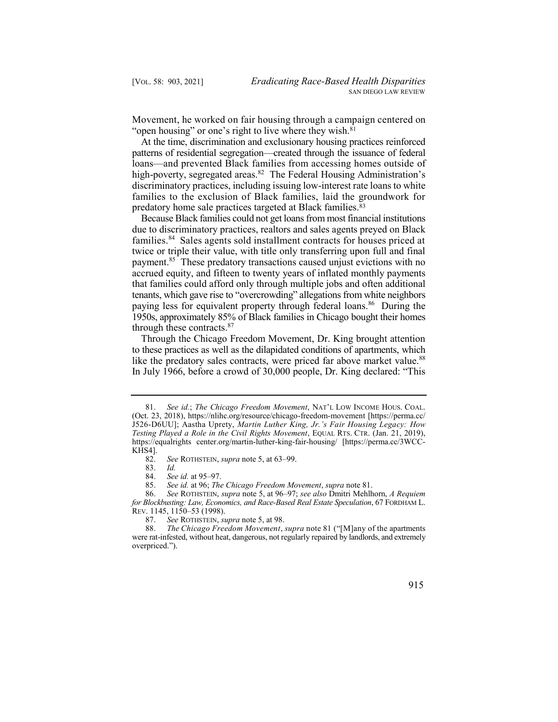Movement, he worked on fair housing through a campaign centered on "open housing" or one's right to live where they wish.<sup>81</sup>

 At the time, discrimination and exclusionary housing practices reinforced high-poverty, segregated areas.<sup>82</sup> The Federal Housing Administration's patterns of residential segregation—created through the issuance of federal loans—and prevented Black families from accessing homes outside of discriminatory practices, including issuing low-interest rate loans to white families to the exclusion of Black families, laid the groundwork for predatory home sale practices targeted at Black families.<sup>83</sup>

 Because Black families could not get loans from most financial institutions families.<sup>84</sup> Sales agents sold installment contracts for houses priced at payment.<sup>85</sup> These predatory transactions caused unjust evictions with no paying less for equivalent property through federal loans.<sup>86</sup> During the due to discriminatory practices, realtors and sales agents preyed on Black twice or triple their value, with title only transferring upon full and final accrued equity, and fifteen to twenty years of inflated monthly payments that families could afford only through multiple jobs and often additional tenants, which gave rise to "overcrowding" allegations from white neighbors 1950s, approximately 85% of Black families in Chicago bought their homes through these contracts.<sup>87</sup>

 Through the Chicago Freedom Movement, Dr. King brought attention like the predatory sales contracts, were priced far above market value.<sup>88</sup> In July 1966, before a crowd of 30,000 people, Dr. King declared: "This to these practices as well as the dilapidated conditions of apartments, which

 (Oct. 23, 2018), <https://nlihc.org/resource/chicago-freedom-movement>[<https://perma.cc>/  *Testing Played a Role in the Civil Rights Movement*, EQUAL RTS. CTR. (Jan. 21, 2019), 81. *See id.*; *The Chicago Freedom Movement*, NAT'L LOW INCOME HOUS. COAL. J526-D6UU]; Aastha Uprety, *Martin Luther King, Jr.'s Fair Housing Legacy: How*  <https://equalrights>[center.org/martin-luther-king-fair-housing/](https://center.org/martin-luther-king-fair-housing) [[https://perma.cc/3WCC-](https://perma.cc/3WCC)KHS4].<br>82.

<sup>82.</sup> *See* ROTHSTEIN, *supra* note 5, at 63–99.

<sup>83.</sup> *Id.* 

 84. *See id.* at 95–97.

 85. *See id.* at 96; *The Chicago Freedom Movement*, *supra* note 81.

 86. *See* ROTHSTEIN, *supra* note 5, at 96–97; *see also* Dmitri Mehlhorn, *A Requiem for Blockbusting: Law, Economics, and Race-Based Real Estate Speculation*, 67 FORDHAM L. REV. 1145, 1150–53 (1998).<br>87. See ROTHSTEIN, si

<sup>87.</sup> *See* ROTHSTEIN, *supra* note 5, at 98.

 88. *The Chicago Freedom Movement*, *supra* note 81 ("[M]any of the apartments were rat-infested, without heat, dangerous, not regularly repaired by landlords, and extremely overpriced.").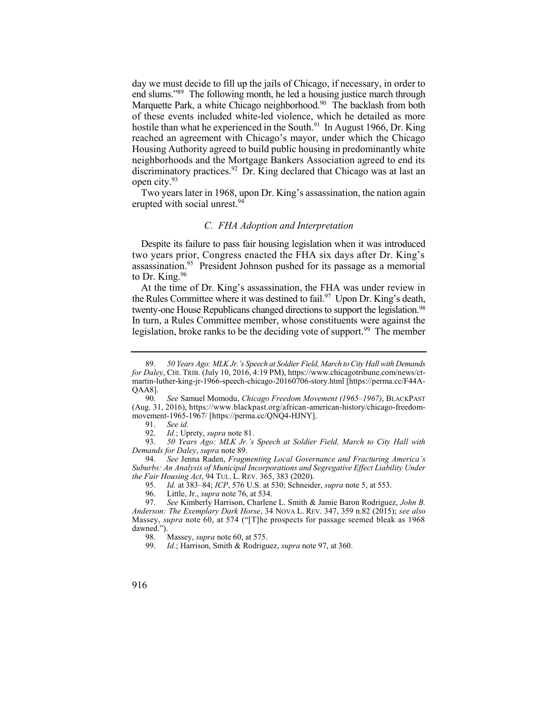end slums."<sup>89</sup> The following month, he led a housing justice march through Marquette Park, a white Chicago neighborhood.<sup>90</sup> The backlash from both hostile than what he experienced in the South.<sup>91</sup> In August 1966, Dr. King reached an agreement with Chicago's mayor, under which the Chicago Housing Authority agreed to build public housing in predominantly white day we must decide to fill up the jails of Chicago, if necessary, in order to of these events included white-led violence, which he detailed as more neighborhoods and the Mortgage Bankers Association agreed to end its discriminatory practices.<sup>92</sup> Dr. King declared that Chicago was at last an open city.93

 Two years later in 1968, upon Dr. King's assassination, the nation again erupted with social unrest.<sup>94</sup>

## *C. FHA Adoption and Interpretation*

 Despite its failure to pass fair housing legislation when it was introduced two years prior, Congress enacted the FHA six days after Dr. King's assassination.<sup>95</sup> President Johnson pushed for its passage as a memorial to Dr. King.<sup>96</sup>

the Rules Committee where it was destined to fail.<sup>97</sup> Upon Dr. King's death, twenty-one House Republicans changed directions to support the legislation.<sup>98</sup> legislation, broke ranks to be the deciding vote of support.<sup>99</sup> The member At the time of Dr. King's assassination, the FHA was under review in In turn, a Rules Committee member, whose constituents were against the

95. *Id.* at 383–84; *ICP*, 576 U.S. at 530; Schneider, *supra* note 5, at 553.

 89. *50 Years Ago: MLK Jr.'s Speech at Soldier Field, March to City Hall with Demands for Daley*, CHI. TRIB. (July 10, 2016, 4:19 PM),<https://www.chicagotribune.com/news/ct>martin-luther-king-jr-1966-speech-chicago-20160706-story.html [\[https://perma.cc/F44A-](https://perma.cc/F44A)

 (Aug. 31, 2016), [https://www.blackpast.org/african-american-history/chicago-freedom-](https://www.blackpast.org/african-american-history/chicago-freedom)QAA8].<br>90. 90. *See* Samuel Momodu, *Chicago Freedom Movement (1965–1967)*, BLACKPAST movement-1965-1967/ [[https://perma.cc/QNQ4-HJNY\]](https://perma.cc/QNQ4-HJNY).

<sup>91.</sup> *See id.* 

<sup>92.</sup> *Id.*; Uprety, *supra* note 81.

 93. *50 Years Ago: MLK Jr.'s Speech at Soldier Field, March to City Hall with Demands for Daley*, *supra* note 89.

 94. *See* Jenna Raden, *Fragmenting Local Governance and Fracturing America's Suburbs: An Analysis of Municipal Incorporations and Segregative Effect Liability Under the Fair Housing Act*, 94 TUL. L. REV. 365, 383 (2020).

 96. Little, Jr., *supra* note 76, at 534.

 97. *See* Kimberly Harrison, Charlene L. Smith & Jamie Baron Rodriguez, *John B. Anderson: The Exemplary Dark Horse*, 34 NOVA L. REV. 347, 359 n.82 (2015); *see also*  Massey, *supra* note 60, at 574 ("[T]he prospects for passage seemed bleak as 1968 dawned.").

<sup>98.</sup> Massey, *supra* note 60, at 575.<br>99. *Id.*; Harrison, Smith & Rodrigu

 99. *Id.*; Harrison, Smith & Rodriguez, *supra* note 97, at 360.

<sup>916</sup>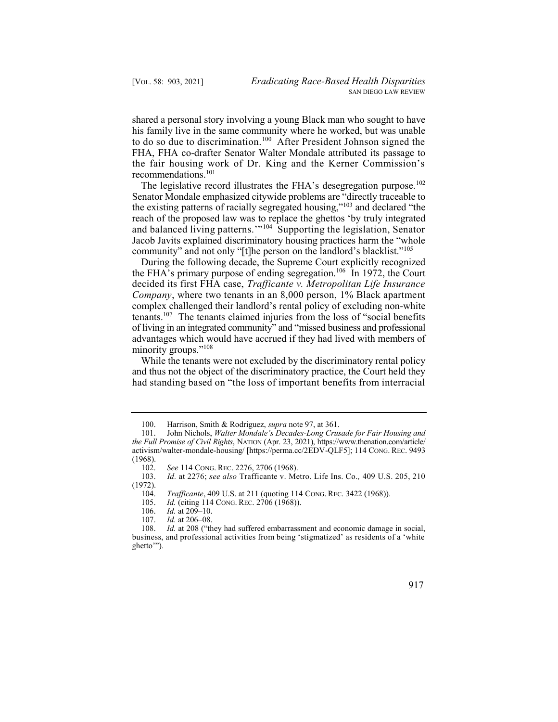to do so due to discrimination.<sup>100</sup> After President Johnson signed the the fair housing work of Dr. King and the Kerner Commission's shared a personal story involving a young Black man who sought to have his family live in the same community where he worked, but was unable FHA, FHA co-drafter Senator Walter Mondale attributed its passage to recommendations.101

The legislative record illustrates the FHA's desegregation purpose.<sup>102</sup> the existing patterns of racially segregated housing,"<sup>103</sup> and declared "the and balanced living patterns.'"104 Supporting the legislation, Senator Senator Mondale emphasized citywide problems are "directly traceable to reach of the proposed law was to replace the ghettos 'by truly integrated Jacob Javits explained discriminatory housing practices harm the "whole community" and not only "[t]he person on the landlord's blacklist."<sup>105</sup>

the FHA's primary purpose of ending segregation.<sup>106</sup> In 1972, the Court tenants.<sup>107</sup> The tenants claimed injuries from the loss of "social benefits During the following decade, the Supreme Court explicitly recognized decided its first FHA case, *Trafficante v. Metropolitan Life Insurance Company*, where two tenants in an 8,000 person, 1% Black apartment complex challenged their landlord's rental policy of excluding non-white of living in an integrated community" and "missed business and professional advantages which would have accrued if they had lived with members of minority groups."<sup>108</sup>

 While the tenants were not excluded by the discriminatory rental policy had standing based on "the loss of important benefits from interracial and thus not the object of the discriminatory practice, the Court held they

 100. Harrison, Smith & Rodriguez, *supra* note 97, at 361.

 *the Full Promise of Civil Rights*, NATION (Apr. 23, 2021), [https://www.thenation.com/article/](https://www.thenation.com/article) activism/walter-mondale-housing/ [<https://perma.cc/2EDV-QLF5>]; 114 CONG. REC. 9493 101. John Nichols, *Walter Mondale's Decades-Long Crusade for Fair Housing and*  (1968).

 102. *See* 114 CONG. REC. 2276, 2706 (1968).

 103. *Id.* at 2276; *see also* Trafficante v. Metro. Life Ins. Co.*,* 409 U.S. 205, 210 (1972).

 104. *Trafficante*, 409 U.S. at 211 (quoting 114 CONG. REC. 3422 (1968)).

 105. *Id.* (citing 114 CONG. REC. 2706 (1968)).

<sup>106.</sup> *Id.* at 209–10.

<sup>107.</sup> *Id.* at 206–08.

 108. *Id.* [at 208 \(](https://1.next.westlaw.com/Link/Document/FullText?findType=Y&serNum=1972127216&pubNum=0000780&originatingDoc=Iaf0b0270417a11e8a70fc9d8a0b2aef5&refType=RP&fi=co_pp_sp_780_210&originationContext=document&transitionType=DocumentItem&contextData=(sc.Search)#co_pp_sp_780_210)"they had suffered embarrassment and economic damage in social, business, and professional activities from being 'stigmatized' as residents of a 'white ghetto'").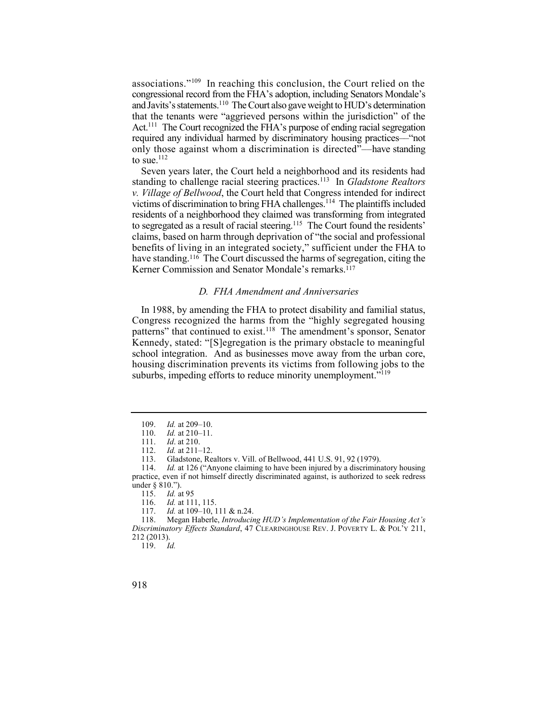associations."<sup>109</sup> In reaching this conclusion, the Court relied on the and Javits's statements.<sup>110</sup> The Court also gave weight to HUD's determination Act.<sup>111</sup> The Court recognized the FHA's purpose of ending racial segregation congressional record from the FHA's adoption, including Senators Mondale's that the tenants were "aggrieved persons within the jurisdiction" of the required any individual harmed by discriminatory housing practices––"not only those against whom a discrimination is directed"––have standing to sue. $^{112}$ 

standing to challenge racial steering practices.<sup>113</sup> In *Gladstone Realtors* victims of discrimination to bring FHA challenges.<sup>114</sup> The plaintiffs included to segregated as a result of racial steering.<sup>115</sup> The Court found the residents' have standing.<sup>116</sup> The Court discussed the harms of segregation, citing the Seven years later, the Court held a neighborhood and its residents had *v. Village of Bellwood*, the Court held that Congress intended for indirect residents of a neighborhood they claimed was transforming from integrated claims, based on harm through deprivation of "the social and professional benefits of living in an integrated society," sufficient under the FHA to Kerner Commission and Senator Mondale's remarks.<sup>117</sup>

#### *D. FHA Amendment and Anniversaries*

patterns" that continued to exist.<sup>118</sup> The amendment's sponsor, Senator In 1988, by amending the FHA to protect disability and familial status, Congress recognized the harms from the "highly segregated housing Kennedy, stated: "[S]egregation is the primary obstacle to meaningful school integration. And as businesses move away from the urban core, housing discrimination prevents its victims from following jobs to the suburbs, impeding efforts to reduce minority unemployment."<sup>119</sup>

<sup>109.</sup> *Id.* at 209–10.

<sup>110.</sup> *Id.* at 210–11.

<sup>111.</sup> *Id*. at 210.

<sup>112.</sup> *Id.* at 211–12.<br>113. Gladstone. Re

 113. Gladstone, Realtors v. Vill. of Bellwood, 441 U.S. 91, 92 (1979).

 114. *Id.* at 126 ("Anyone claiming to have been injured by a discriminatory housing practice, even if not himself directly discriminated against, is authorized to seek redress under § 810.").

<sup>115.</sup> *Id.* at 95<br>116. *Id.* at 11.

<sup>116.</sup> *Id.* at 111, 115.<br>117. *Id.* at 109–10, 1

Id. at 109–10, 111 & n.24.

 118. Megan Haberle, *Introducing HUD's Implementation of the Fair Housing Act's Discriminatory Effects Standard*, 47 CLEARINGHOUSE REV. J. POVERTY L. & POL'Y 211, 212 (2013).

<sup>119.</sup> *Id.*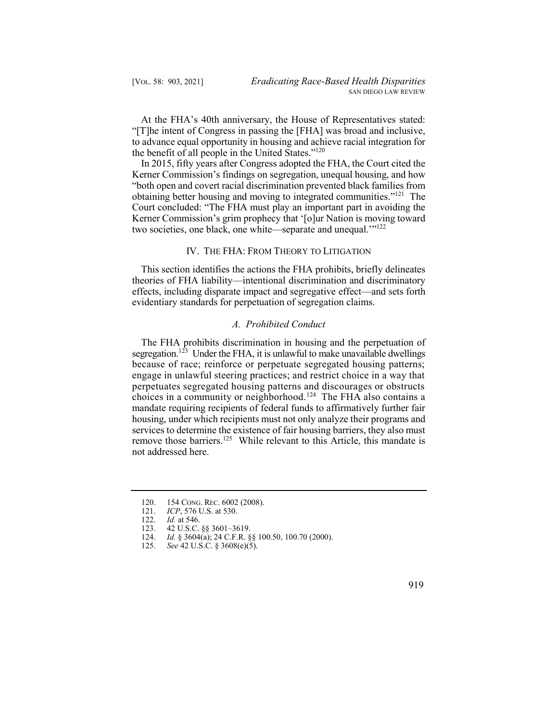At the FHA's 40th anniversary, the House of Representatives stated: "[T]he intent of Congress in passing the [FHA] was broad and inclusive, to advance equal opportunity in housing and achieve racial integration for the benefit of all people in the United States."<sup>120</sup>

 In 2015, fifty years after Congress adopted the FHA, the Court cited the obtaining better housing and moving to integrated communities."<sup>121</sup> The Kerner Commission's grim prophecy that '[o]ur Nation is moving toward Kerner Commission's findings on segregation, unequal housing, and how "both open and covert racial discrimination prevented black families from Court concluded: "The FHA must play an important part in avoiding the two societies, one black, one white—separate and unequal.'"<sup>122</sup>

### IV. THE FHA: FROM THEORY TO LITIGATION

 theories of FHA liability––intentional discrimination and discriminatory This section identifies the actions the FHA prohibits, briefly delineates effects, including disparate impact and segregative effect––and sets forth evidentiary standards for perpetuation of segregation claims.

## *A. Prohibited Conduct*

segregation.<sup>123</sup> Under the FHA, it is unlawful to make unavailable dwellings choices in a community or neighborhood.124 The FHA also contains a remove those barriers.<sup>125</sup> While relevant to this Article, this mandate is The FHA prohibits discrimination in housing and the perpetuation of because of race; reinforce or perpetuate segregated housing patterns; engage in unlawful steering practices; and restrict choice in a way that perpetuates segregated housing patterns and discourages or obstructs mandate requiring recipients of federal funds to affirmatively further fair housing, under which recipients must not only analyze their programs and services to determine the existence of fair housing barriers, they also must not addressed here.

124. *Id.* § 3604(a); 24 C.F.R. §§ 100.50, 100.70 (2000).<br>125. *See* 42 U.S.C. § 3608(e)(5).



<sup>120. 154</sup> CONG. REC. 6002 (2008).<br>121. ICP. 576 U.S. at 530.

*ICP*, 576 U.S. at 530.

<sup>122.</sup> *Id.* at 546.<br>123. 42 U.S.C.

<sup>42</sup> U.S.C. §§ 3601–3619.

 125. *See* 42 U.S.C. § 3608(e)(5).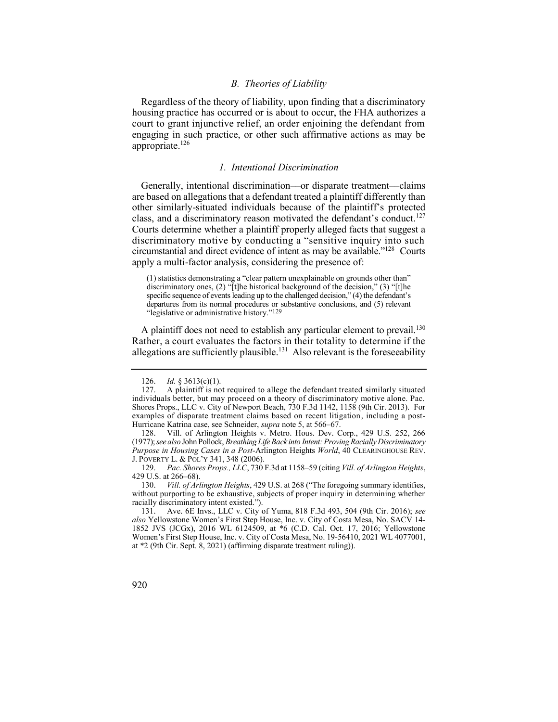## *B. Theories of Liability*

 housing practice has occurred or is about to occur, the FHA authorizes a court to grant injunctive relief, an order enjoining the defendant from engaging in such practice, or other such affirmative actions as may be Regardless of the theory of liability, upon finding that a discriminatory appropriate.<sup>126</sup>

#### *1. Intentional Discrimination*

 Generally, intentional discrimination––or disparate treatment––claims are based on allegations that a defendant treated a plaintiff differently than class, and a discriminatory reason motivated the defendant's conduct.<sup>127</sup> Courts determine whether a plaintiff properly alleged facts that suggest a circumstantial and direct evidence of intent as may be available."128 Courts other similarly-situated individuals because of the plaintiff's protected discriminatory motive by conducting a "sensitive inquiry into such apply a multi-factor analysis, considering the presence of:

 (1) statistics demonstrating a "clear pattern unexplainable on grounds other than" departures from its normal procedures or substantive conclusions, and (5) relevant discriminatory ones, (2) "[t]he historical background of the decision," (3) "[t]he specific sequence of events leading up to the challenged decision," (4) the defendant's "legislative or administrative history."129

A plaintiff does not need to establish any particular element to prevail.<sup>130</sup> allegations are sufficiently plausible.<sup>131</sup> Also relevant is the foreseeability Rather, a court evaluates the factors in their totality to determine if the

 128. Vill. of Arlington Heights v. Metro. Hous. Dev. Corp., 429 U.S. 252, 266 J. POVERTY L. & POL'Y 341, 348 (2006). (1977); *see also* John Pollock, *Breathing Life Back into Intent: Proving Racially Discriminatory Purpose in Housing Cases in a Post-*Arlington Heights *World*, 40 CLEARINGHOUSE REV.

 129. *Pac. Shores Props., LLC*, 730 F.3d at 1158–59 (citing *Vill. of Arlington Heights*, 429 U.S. at 266–68).

130. *Vill. of Arlington Heights*, 429 U.S. at 268 ("The foregoing summary identifies, without purporting to be exhaustive, subjects of proper inquiry in determining whether racially discriminatory intent existed.").

 131. Ave. 6E Invs., LLC v. City of Yuma, 818 F.3d 493, 504 (9th Cir. 2016); *see also* Yellowstone Women's First Step House, Inc. v. City of Costa Mesa, No. SACV 14- 1852 JVS (JCGx), 2016 WL 6124509, at \*6 (C.D. Cal. Oct. 17, 2016; Yellowstone Women's First Step House, Inc. v. City of Costa Mesa, No. 19-56410, 2021 WL 4077001, at \*2 (9th Cir. Sept. 8, 2021) (affirming disparate treatment ruling)).

<sup>126.</sup> *Id.* § 3613(c)(1).

 127. A plaintiff is not required to allege the defendant treated similarly situated individuals better, but may proceed on a theory of discriminatory motive alone. Pac. Shores Props., LLC v. City of Newport Beach, 730 F.3d 1142, 1158 (9th Cir. 2013). For examples of disparate treatment claims based on recent litigation, including a post-Hurricane Katrina case, see Schneider, *supra* note 5, at 566–67.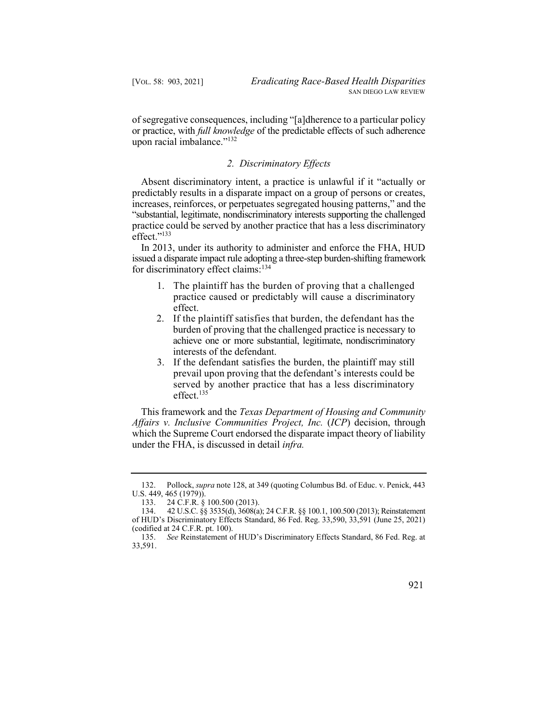of segregative consequences, including "[a]dherence to a particular policy or practice, with *full knowledge* of the predictable effects of such adherence upon racial imbalance."<sup>132</sup>

## *2. Discriminatory Effects*

 Absent discriminatory intent, a practice is unlawful if it "actually or predictably results in a disparate impact on a group of persons or creates, increases, reinforces, or perpetuates segregated housing patterns," and the practice could be served by another practice that has a less discriminatory "substantial, legitimate, nondiscriminatory interests supporting the challenged effect."<sup>133</sup>

 In 2013, under its authority to administer and enforce the FHA, HUD issued a disparate impact rule adopting a three-step burden-shifting framework for discriminatory effect claims:<sup>134</sup>

- 1. The plaintiff has the burden of proving that a challenged practice caused or predictably will cause a discriminatory effect.
- 2. If the plaintiff satisfies that burden, the defendant has the burden of proving that the challenged practice is necessary to achieve one or more substantial, legitimate, nondiscriminatory interests of the defendant.
- 3. If the defendant satisfies the burden, the plaintiff may still prevail upon proving that the defendant's interests could be served by another practice that has a less discriminatory effect.<sup>135</sup>

 This framework and the *Texas Department of Housing and Community Affairs v. Inclusive Communities Project, Inc.* (*ICP*) decision, through which the Supreme Court endorsed the disparate impact theory of liability under the FHA, is discussed in detail *infra.* 

 135. *See* Reinstatement of HUD's Discriminatory Effects Standard, 86 Fed. Reg. at 33,591.



 132. Pollock, *supra* note 128, at 349 (quoting Columbus Bd. of Educ. v. Penick, 443 U.S. 449, 465 (1979)).

<sup>133. 24</sup> C.F.R. § 100.500 (2013).

 134. 42 U.S.C. §§ 3535(d), 3608(a); 24 C.F.R. §§ 100.1, 100.500 (2013); Reinstatement of HUD's Discriminatory Effects Standard, 86 Fed. Reg. 33,590, 33,591 (June 25, 2021) (codified at 24 C.F.R. pt. 100).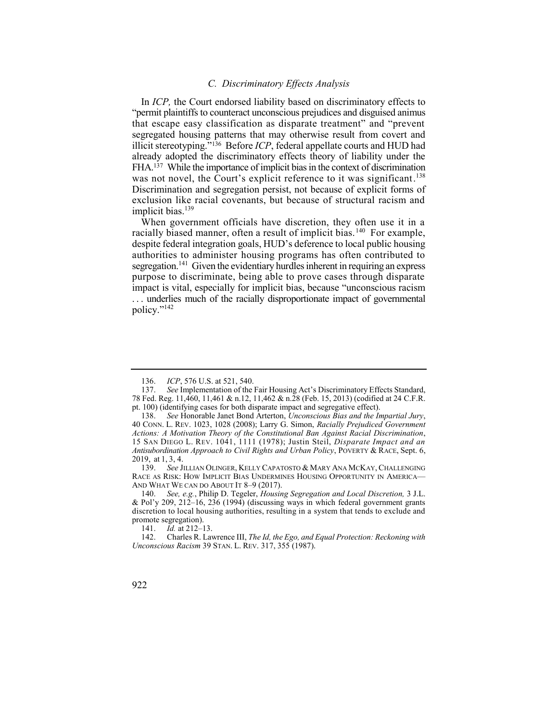# *C. Discriminatory Effects Analysis*

 In *ICP,* the Court endorsed liability based on discriminatory effects to "permit plaintiffs to counteract unconscious prejudices and disguised animus FHA.<sup>137</sup> While the importance of implicit bias in the context of discrimination was not novel, the Court's explicit reference to it was significant.<sup>138</sup> Discrimination and segregation persist, not because of explicit forms of exclusion like racial covenants, but because of structural racism and that escape easy classification as disparate treatment" and "prevent segregated housing patterns that may otherwise result from covert and illicit stereotyping."136 Before *ICP*, federal appellate courts and HUD had already adopted the discriminatory effects theory of liability under the implicit bias.<sup>139</sup>

racially biased manner, often a result of implicit bias.<sup>140</sup> For example, segregation.<sup>141</sup> Given the evidentiary hurdles inherent in requiring an express When government officials have discretion, they often use it in a despite federal integration goals, HUD's deference to local public housing authorities to administer housing programs has often contributed to purpose to discriminate, being able to prove cases through disparate impact is vital, especially for implicit bias, because "unconscious racism . . . underlies much of the racially disproportionate impact of governmental policy."<sup>142</sup>

139. *See* JILLIAN OLINGER, KELLY CAPATOSTO & MARY ANA MCKAY, CHALLENGING RACE AS RISK: HOW IMPLICIT BIAS UNDERMINES HOUSING OPPORTUNITY IN AMERICA— AND WHAT WE CAN DO ABOUT IT 8–9 (2017).

141. *Id.* at 212–13.

<sup>136.</sup> *ICP*, 576 U.S. at 521, 540.

 137. *See* Implementation of the Fair Housing Act's Discriminatory Effects Standard, 78 Fed. Reg. 11,460, 11,461 & n.12, 11,462 & n.28 (Feb. 15, 2013) (codified at 24 C.F.R. pt. 100) (identifying cases for both disparate impact and segregative effect).

 138. *See* Honorable Janet Bond Arterton, *Unconscious Bias and the Impartial Jury*, 40 CONN. L. REV. 1023, 1028 (2008); Larry G. Simon, *Racially Prejudiced Government Actions: A Motivation Theory of the Constitutional Ban Against Racial Discrimination*, 15 SAN DIEGO L. REV. 1041, 1111 (1978); Justin Steil, *Disparate Impact and an Antisubordination Approach to Civil Rights and Urban Policy*, POVERTY & RACE, Sept. 6, 2019, at 1, 3, 4.

 140. *See, e.g.*, Philip D. Tegeler, *Housing Segregation and Local Discretion,* 3 J.L. & Pol'y 209, 212–16, 236 (1994) (discussing ways in which federal government grants discretion to local housing authorities, resulting in a system that tends to exclude and promote segregation).

 142. Charles R. Lawrence III, *The Id, the Ego, and Equal Protection: Reckoning with Unconscious Racism* 39 STAN. L. REV. 317, 355 (1987).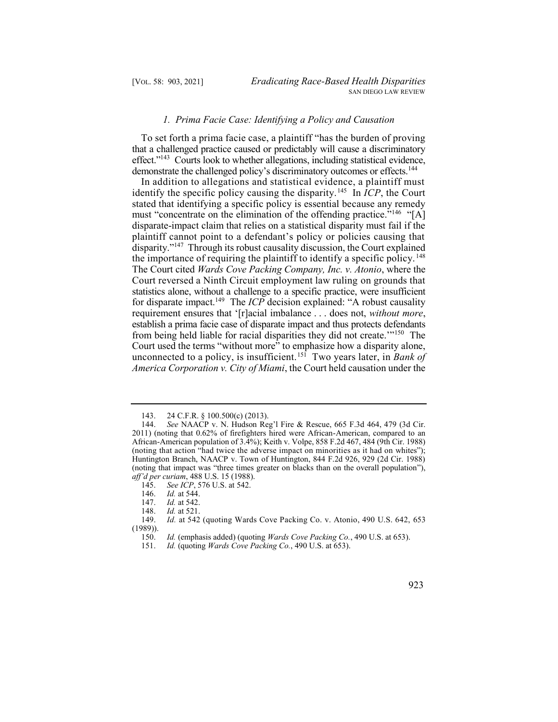## *1. Prima Facie Case: Identifying a Policy and Causation*

 To set forth a prima facie case, a plaintiff "has the burden of proving effect."<sup>143</sup> Courts look to whether allegations, including statistical evidence, demonstrate the challenged policy's discriminatory outcomes or effects.<sup>144</sup> that a challenged practice caused or predictably will cause a discriminatory

identify the specific policy causing the disparity.<sup>145</sup> In  $\overline{ICP}$ , the Court must "concentrate on the elimination of the offending practice."<sup>146</sup> "[A] disparity."<sup>147</sup> Through its robust causality discussion, the Court explained the importance of requiring the plaintiff to identify a specific policy.<sup>148</sup>  The Court cited *Wards Cove Packing Company, Inc. v. Atonio*, where the for disparate impact.149 The *ICP* decision explained: "A robust causality from being held liable for racial disparities they did not create."<sup>150</sup> The unconnected to a policy, is insufficient.151 Two years later, in *Bank of*  In addition to allegations and statistical evidence, a plaintiff must stated that identifying a specific policy is essential because any remedy disparate-impact claim that relies on a statistical disparity must fail if the plaintiff cannot point to a defendant's policy or policies causing that Court reversed a Ninth Circuit employment law ruling on grounds that statistics alone, without a challenge to a specific practice, were insufficient requirement ensures that '[r]acial imbalance . . . does not, *without more*, establish a prima facie case of disparate impact and thus protects defendants Court used the terms "without more" to emphasize how a disparity alone, *America Corporation v. City of Miami*, the Court held causation under the

<sup>143. 24</sup> C.F.R. § 100.500(c) (2013).

 144. *See* NAACP v. N. Hudson Reg'l Fire & Rescue, 665 F.3d 464, 479 (3d Cir. 2011) (noting that 0.62% of firefighters hired were African-American, compared to an African-American population of 3.4%); Keith v. Volpe, 858 F.2d 467, 484 (9th Cir. 1988) (noting that action "had twice the adverse impact on minorities as it had on whites"); Huntington Branch, NAACP v. Town of Huntington, 844 F.2d 926, 929 (2d Cir. 1988) (noting that impact was "three times greater on blacks than on the overall population"), *aff'd per curiam*, 488 U.S. 15 (1988).

 145. *See ICP*, 576 U.S. at 542.

<sup>146.</sup> *Id.* at 544.<br>147. *Id.* at 542.

<sup>147.</sup> *Id.* at 542.<br>148. *Id.* at 521. 148. *Id.* at 521.

 149. *Id.* at 542 (quoting Wards Cove Packing Co. v. Atonio, 490 U.S. 642, 653 (1989)).

 150. *Id.* (emphasis added) (quoting *Wards Cove Packing Co.*, 490 U.S. at 653).

 151. *Id.* (quoting *Wards Cove Packing Co.*, 490 U.S. at 653).

<sup>923</sup>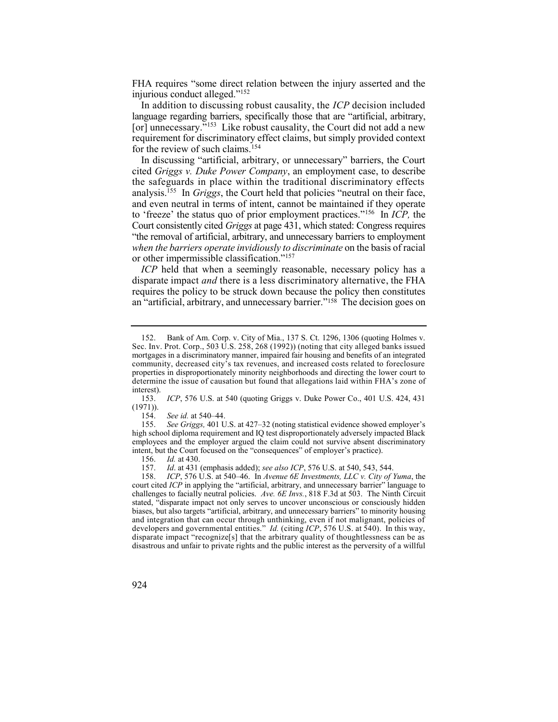FHA requires "some direct relation between the injury asserted and the injurious conduct alleged."<sup>152</sup>

 In addition to discussing robust causality, the *ICP* decision included [or] unnecessary."<sup>153</sup> Like robust causality, the Court did not add a new language regarding barriers, specifically those that are "artificial, arbitrary, requirement for discriminatory effect claims, but simply provided context for the review of such claims.<sup>154</sup>

 analysis.155 In *Griggs*, the Court held that policies "neutral on their face, to 'freeze' the status quo of prior employment practices."156 In *ICP,* the In discussing "artificial, arbitrary, or unnecessary" barriers, the Court cited *Griggs v. Duke Power Company*, an employment case, to describe the safeguards in place within the traditional discriminatory effects and even neutral in terms of intent, cannot be maintained if they operate Court consistently cited *Griggs* at page 431, which stated: Congress requires "the removal of artificial, arbitrary, and unnecessary barriers to employment *when the barriers operate invidiously to discriminate* on the basis of racial or other impermissible classification."<sup>157</sup>

 *ICP* held that when a seemingly reasonable, necessary policy has a an "artificial, arbitrary, and unnecessary barrier."158 The decision goes on disparate impact *and* there is a less discriminatory alternative, the FHA requires the policy to be struck down because the policy then constitutes

156. *Id.* at 430.<br>157. *Id.* at 431

<sup>158.</sup> *ICP*, 576 U.S. at 540–46. In *Avenue 6E Investments, LLC v. City of Yuma*, the court cited *ICP* in applying the "artificial, arbitrary, and unnecessary barrier" language to challenges to facially neutral policies. *Ave. 6E Invs.*, 818 F.3d at 503. The Ninth Circuit stated, "disparate impact not only serves to uncover unconscious or consciously hidden biases, but also targets "artificial, arbitrary, and unnecessary barriers" to minority housing and integration that can occur through unthinking, even if not malignant, policies of developers and governmental entities." *Id.* (citing *ICP*, 576 U.S. at 540). In this way, disparate impact "recognize[s] that the arbitrary quality of thoughtlessness can be as disastrous and unfair to private rights and the public interest as the perversity of a willful



<sup>152.</sup> Bank of Am. Corp. v. City of Mia., 137 S. Ct. 1296, 1306 (quoting Holmes v. Sec. Inv. Prot. Corp., 503 U.S. 258, 268 (1992)) (noting that city alleged banks issued mortgages in a discriminatory manner, impaired fair housing and benefits of an integrated community, decreased city's tax revenues, and increased costs related to foreclosure properties in disproportionately minority neighborhoods and directing the lower court to determine the issue of causation but found that allegations laid within FHA's zone of interest).

 153. *ICP*, 576 U.S. at 540 (quoting Griggs v. Duke Power Co., 401 U.S. 424, 431  $(1971)$ ).

 154. *See id.* at 540–44.

 155. *See Griggs,* 401 U.S. at 427–32 (noting statistical evidence showed employer's high school diploma requirement and IQ test disproportionately adversely impacted Black employees and the employer argued the claim could not survive absent discriminatory intent, but the Court focused on the "consequences" of employer's practice).<br>156. Id. at 430.

 157. *Id*. at 431 (emphasis added); *see also ICP*, 576 U.S. at 540, 543, 544.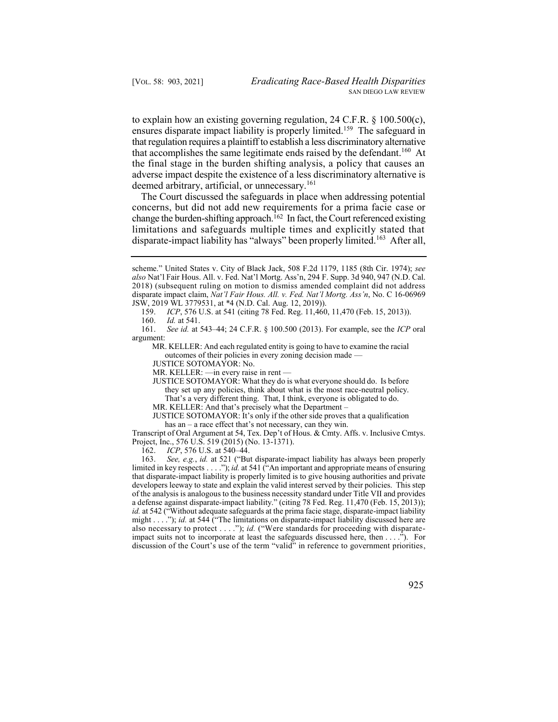ensures disparate impact liability is properly limited.<sup>159</sup> The safeguard in that accomplishes the same legitimate ends raised by the defendant.<sup>160</sup> At to explain how an existing governing regulation, 24 C.F.R. § 100.500(c), that regulation requires a plaintiff to establish a less discriminatory alternative the final stage in the burden shifting analysis, a policy that causes an adverse impact despite the existence of a less discriminatory alternative is deemed arbitrary, artificial, or unnecessary.<sup>161</sup>

 The Court discussed the safeguards in place when addressing potential change the burden-shifting approach.<sup>162</sup> In fact, the Court referenced existing disparate-impact liability has "always" been properly limited.<sup>163</sup> After all, concerns, but did not add new requirements for a prima facie case or limitations and safeguards multiple times and explicitly stated that

160. *Id.* at 541.

 outcomes of their policies in every zoning decision made — MR. KELLER: And each regulated entity is going to have to examine the racial

JUSTICE SOTOMAYOR: No.

MR. KELLER: —in every raise in rent —

 they set up any policies, think about what is the most race-neutral policy. That's a very different thing. That, I think, everyone is obligated to do. JUSTICE SOTOMAYOR: What they do is what everyone should do. Is before

MR. KELLER: And that's precisely what the Department –

 has an – a race effect that's not necessary, can they win. JUSTICE SOTOMAYOR: It's only if the other side proves that a qualification

 Transcript of Oral Argument at 54, Tex. Dep't of Hous. & Cmty. Affs. v. Inclusive Cmtys. Project, Inc., 576 U.S. 519 (2015) (No. 13-1371).

162. *ICP*, 576 U.S. at 540–44.

 163. *See, e.g.*, *id.* at 521 ("But disparate-impact liability has always been properly limited in key respects . . . ."); *id.* at 541 ("An important and appropriate means of ensuring that disparate-impact liability is properly limited is to give housing authorities and private developers leeway to state and explain the valid interest served by their policies. This step of the analysis is analogous to the business necessity standard under Title VII and provides a defense against disparate-impact liability." (citing 78 Fed. Reg. 11,470 (Feb. 15, 2013)); *id.* at 542 ("Without adequate safeguards at the prima facie stage, disparate-impact liability might . . . ."); *id.* at 544 ("The limitations on disparate-impact liability discussed here are also necessary to protect . . . ."); *id.* ("Were standards for proceeding with disparateimpact suits not to incorporate at least the safeguards discussed here, then . . . ."). For discussion of the Court's use of the term "valid" in reference to government priorities,

 scheme." United States v. City of Black Jack, 508 F.2d 1179, 1185 (8th Cir. 1974); *see also* Nat'l Fair Hous. All. v. Fed. Nat'l Mortg. Ass'n, 294 F. Supp. 3d 940, 947 (N.D. Cal. 2018) (subsequent ruling on motion to dismiss amended complaint did not address disparate impact claim, *Nat'l Fair Hous. All. v. Fed. Nat'l Mortg. Ass'n*, No. C 16-06969 JSW, 2019 WL 3779531, at \*4 (N.D. Cal. Aug. 12, 2019)).

 159. *ICP*, 576 U.S. at 541 (citing 78 Fed. Reg. 11,460, 11,470 (Feb. 15, 2013)).

 161. *See id.* at 543–44; 24 C.F.R. § 100.500 (2013). For example, see the *ICP* oral argument: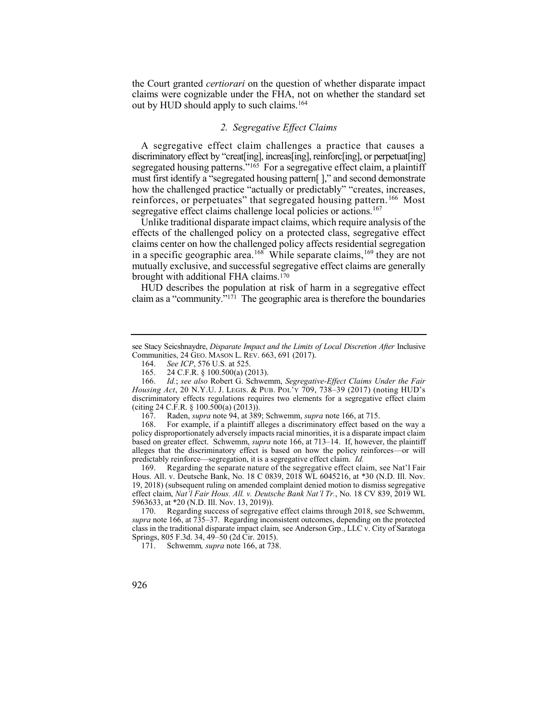the Court granted *certiorari* on the question of whether disparate impact claims were cognizable under the FHA, not on whether the standard set out by HUD should apply to such claims.<sup>164</sup>

# *2. Segregative Effect Claims*

 A segregative effect claim challenges a practice that causes a reinforces, or perpetuates" that segregated housing pattern.<sup>166</sup> Most discriminatory effect by "creat[ing], increas[ing], reinforc[ing], or perpetuat[ing] segregated housing patterns."<sup>165</sup> For a segregative effect claim, a plaintiff must first identify a "segregated housing pattern[ ]," and second demonstrate how the challenged practice "actually or predictably" "creates, increases, segregative effect claims challenge local policies or actions.<sup>167</sup>

 Unlike traditional disparate impact claims, which require analysis of the effects of the challenged policy on a protected class, segregative effect claims center on how the challenged policy affects residential segregation in a specific geographic area.<sup>168</sup> While separate claims,<sup>169</sup> they are not mutually exclusive, and successful segregative effect claims are generally brought with additional FHA claims.170

 claim as a "community."171 The geographic area is therefore the boundaries HUD describes the population at risk of harm in a segregative effect

 168. For example, if a plaintiff alleges a discriminatory effect based on the way a policy disproportionately adversely impacts racial minorities, it is a disparate impact claim based on greater effect. Schwemm, *supra* note 166, at 713–14. If, however, the plaintiff alleges that the discriminatory effect is based on how the policy reinforces—or will predictably reinforce—segregation, it is a segregative effect claim. *Id.* 

 169. Regarding the separate nature of the segregative effect claim, see Nat'l Fair Hous. All. v. Deutsche Bank, No. 18 C 0839, 2018 WL 6045216, at \*30 (N.D. Ill. Nov. 19, 2018) (subsequent ruling on amended complaint denied motion to dismiss segregative effect claim, *Nat'l Fair Hous. All. v. Deutsche Bank Nat'l Tr.*, No. 18 CV 839, 2019 WL 5963633, at \*20 (N.D. Ill. Nov. 13, 2019)).

 170. Regarding success of segregative effect claims through 2018, see Schwemm, *supra* note 166, at 735–37. Regarding inconsistent outcomes, depending on the protected class in the traditional disparate impact claim*,* see Anderson Grp., LLC v. City of Saratoga Springs, 805 F.3d. 34, 49–50 (2d Cir. 2015).

 171. Schwemm*, supra* note 166, at 738.

see Stacy Seicshnaydre, *Disparate Impact and the Limits of Local Discretion After Inclusive* Communities, 24 GEO. MASON L. REV. 663, 691 (2017).

 164. *See ICP*, 576 U.S. at 525.

 165. 24 C.F.R. § 100.500(a) (2013).

 166. *Id.*; *see also* Robert G. Schwemm, *Segregative-Effect Claims Under the Fair Housing Act*, 20 N.Y.U. J. LEGIS. & PUB. POL'Y 709, 738–39 (2017) (noting HUD's discriminatory effects regulations requires two elements for a segregative effect claim (citing 24 C.F.R. § 100.500(a)  $(2013)$ ).

<sup>167.</sup> Raden, *supra* note 94, at 389; Schwemm, *supra* note 166, at 715.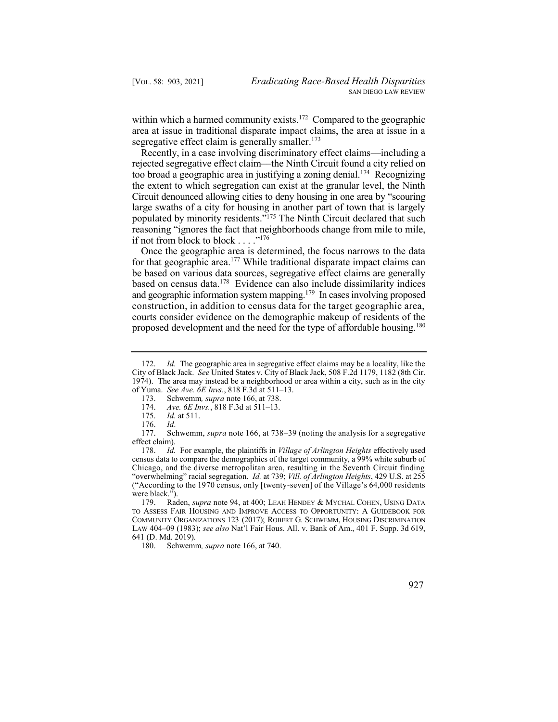within which a harmed community exists.<sup>172</sup> Compared to the geographic area at issue in traditional disparate impact claims, the area at issue in a segregative effect claim is generally smaller. $173$ 

 Recently, in a case involving discriminatory effect claims––including a too broad a geographic area in justifying a zoning denial.<sup>174</sup> Recognizing populated by minority residents."<sup>175</sup> The Ninth Circuit declared that such rejected segregative effect claim––the Ninth Circuit found a city relied on the extent to which segregation can exist at the granular level, the Ninth Circuit denounced allowing cities to deny housing in one area by "scouring large swaths of a city for housing in another part of town that is largely reasoning "ignores the fact that neighborhoods change from mile to mile, if not from block to block . . . ."<sup>176</sup>

for that geographic area.<sup>177</sup> While traditional disparate impact claims can based on census data.<sup>178</sup> Evidence can also include dissimilarity indices and geographic information system mapping.<sup>179</sup> In cases involving proposed courts consider evidence on the demographic makeup of residents of the proposed development and the need for the type of affordable housing.<sup>180</sup> Once the geographic area is determined, the focus narrows to the data be based on various data sources, segregative effect claims are generally construction, in addition to census data for the target geographic area,

 172. *Id.* The geographic area in segregative effect claims may be a locality, like the City of Black Jack. *See* United States v. City of Black Jack, 508 F.2d 1179, 1182 (8th Cir. 1974). The area may instead be a neighborhood or area within a city, such as in the city of Yuma. *See Ave. 6E Invs.*, 818 F.3d at 511–13.

 173. Schwemm*, supra* note 166, at 738.

 174. *Ave. 6E Invs.*, 818 F.3d at 511–13.

<sup>175.</sup> *Id.* at 511.

<sup>176.</sup> *Id*.

 177. Schwemm, *supra* note 166, at 738–39 (noting the analysis for a segregative effect claim).

 178. *Id.* For example, the plaintiffs in *Village of Arlington Heights* effectively used census data to compare the demographics of the target community, a 99% white suburb of Chicago, and the diverse metropolitan area, resulting in the Seventh Circuit finding "overwhelming" racial segregation. *Id.* at 739; *Vill. of Arlington Heights*, 429 U.S. at 255 ("According to the 1970 census, only [twenty-seven] of the Village's 64,000 residents were black.").

<sup>179.</sup> Raden, *supra* note 94, at 400; LEAH HENDEY & MYCHAL COHEN, USING DATA TO ASSESS FAIR HOUSING AND IMPROVE ACCESS TO OPPORTUNITY: A GUIDEBOOK FOR COMMUNITY ORGANIZATIONS 123 (2017); ROBERT G. SCHWEMM, HOUSING DISCRIMINATION LAW 404–09 (1983); *see also* Nat'l Fair Hous. All. v. Bank of Am., 401 F. Supp. 3d 619, 641 (D. Md. 2019).

 180. Schwemm*, supra* note 166, at 740.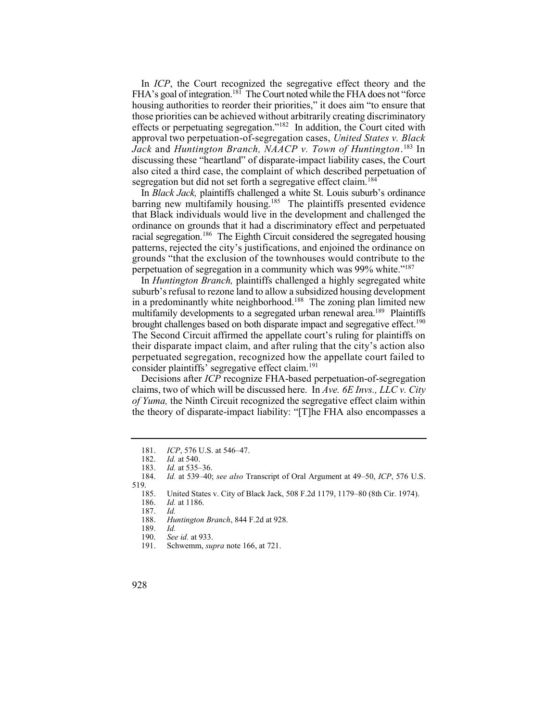FHA's goal of integration.<sup>181</sup> The Court noted while the FHA does not "force effects or perpetuating segregation."<sup>182</sup> In addition, the Court cited with  *Jack* and *Huntington Branch, NAACP v. Town of Huntington*. 183 In segregation but did not set forth a segregative effect claim.<sup>184</sup> In *ICP*, the Court recognized the segregative effect theory and the housing authorities to reorder their priorities," it does aim "to ensure that those priorities can be achieved without arbitrarily creating discriminatory approval two perpetuation-of-segregation cases, *United States v. Black*  discussing these "heartland" of disparate-impact liability cases, the Court also cited a third case, the complaint of which described perpetuation of

barring new multifamily housing.<sup>185</sup> The plaintiffs presented evidence racial segregation.<sup>186</sup> The Eighth Circuit considered the segregated housing In *Black Jack,* plaintiffs challenged a white St. Louis suburb's ordinance that Black individuals would live in the development and challenged the ordinance on grounds that it had a discriminatory effect and perpetuated patterns, rejected the city's justifications, and enjoined the ordinance on grounds "that the exclusion of the townhouses would contribute to the perpetuation of segregation in a community which was 99% white."<sup>187</sup>

in a predominantly white neighborhood.<sup>188</sup> The zoning plan limited new multifamily developments to a segregated urban renewal area.<sup>189</sup> Plaintiffs brought challenges based on both disparate impact and segregative effect.<sup>190</sup> The Second Circuit affirmed the appellate court's ruling for plaintiffs on their disparate impact claim, and after ruling that the city's action also In *Huntington Branch,* plaintiffs challenged a highly segregated white suburb's refusal to rezone land to allow a subsidized housing development perpetuated segregation, recognized how the appellate court failed to consider plaintiffs' segregative effect claim.<sup>191</sup>

 claims, two of which will be discussed here. In *Ave. 6E Invs., LLC v. City of Yuma,* the Ninth Circuit recognized the segregative effect claim within the theory of disparate-impact liability: "[T]he FHA also encompasses a Decisions after *ICP* recognize FHA-based perpetuation-of-segregation

 181. *ICP*, 576 U.S. at 546–47.

<sup>182.</sup> *Id.* at 540.

<sup>183.</sup> *Id.* at 535–36.

 184. *Id.* at 539–40; *see also* Transcript of Oral Argument at 49–50, *ICP*, 576 U.S. 519.

 185. United States v. City of Black Jack, 508 F.2d 1179, 1179–80 (8th Cir. 1974).

<sup>186.</sup> *Id.* at 1186.

<sup>187.</sup> *Id.* 

 188. *Huntington Branch*, 844 F.2d at 928.

<sup>189.</sup> *Id.* 

 190. *See id.* at 933.

<sup>191.</sup> Schwemm, *supra* note 166, at 721.

<sup>928</sup>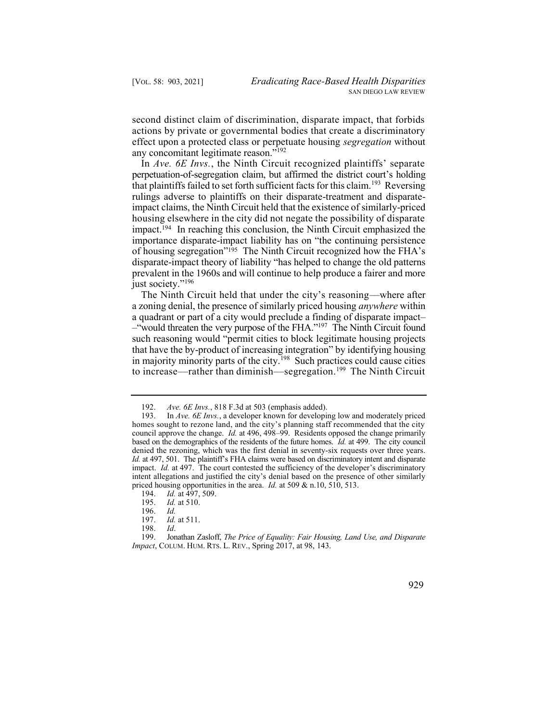second distinct claim of discrimination, disparate impact, that forbids actions by private or governmental bodies that create a discriminatory effect upon a protected class or perpetuate housing *segregation* without any concomitant legitimate reason."<sup>192</sup>

 In *Ave. 6E Invs.*, the Ninth Circuit recognized plaintiffs' separate that plaintiffs failed to set forth sufficient facts for this claim.<sup>193</sup> Reversing impact.194 In reaching this conclusion, the Ninth Circuit emphasized the of housing segregation"<sup>195</sup> The Ninth Circuit recognized how the FHA's perpetuation-of-segregation claim, but affirmed the district court's holding rulings adverse to plaintiffs on their disparate-treatment and disparateimpact claims, the Ninth Circuit held that the existence of similarly-priced housing elsewhere in the city did not negate the possibility of disparate importance disparate-impact liability has on "the continuing persistence disparate-impact theory of liability "has helped to change the old patterns prevalent in the 1960s and will continue to help produce a fairer and more just society."<sup>196</sup>

 The Ninth Circuit held that under the city's reasoning––where after –"would threaten the very purpose of the FHA."197 The Ninth Circuit found in majority minority parts of the city.<sup>198</sup> Such practices could cause cities to increase—rather than diminish—segregation.<sup>199</sup> The Ninth Circuit a zoning denial, the presence of similarly priced housing *anywhere* within a quadrant or part of a city would preclude a finding of disparate impact– such reasoning would "permit cities to block legitimate housing projects that have the by-product of increasing integration" by identifying housing

 199. Jonathan Zasloff, *The Price of Equality: Fair Housing, Land Use, and Disparate Impact*, COLUM. HUM. RTS. L. REV., Spring 2017, at 98, 143.



 192. *Ave. 6E Invs.*, 818 F.3d at 503 (emphasis added).

<sup>193.</sup> In *Ave. 6E Invs.*, a developer known for developing low and moderately priced homes sought to rezone land, and the city's planning staff recommended that the city council approve the change. *Id.* at 496, 498–99. Residents opposed the change primarily based on the demographics of the residents of the future homes. *Id.* at 499. The city council denied the rezoning, which was the first denial in seventy-six requests over three years. *Id.* at 497, 501. The plaintiff's FHA claims were based on discriminatory intent and disparate impact. *Id.* at 497. The court contested the sufficiency of the developer's discriminatory intent allegations and justified the city's denial based on the presence of other similarly priced housing opportunities in the area. *Id.* at 509 & n.10, 510, 513.

<sup>194.</sup> *Id.* at 497, 509.<br>195. *Id.* at 510.

*Id.* at 510.<br>*Id.* 

<sup>196.</sup> *Id.* 

*Id.* at 511.

<sup>198.</sup> *Id*.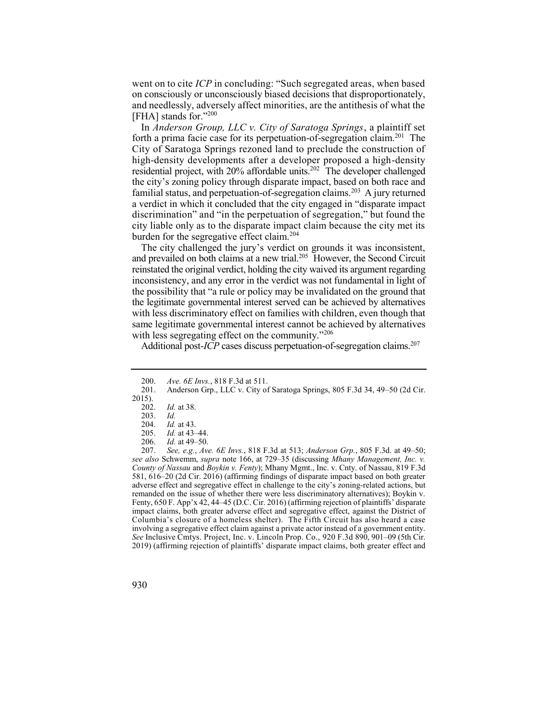went on to cite *ICP* in concluding: "Such segregated areas, when based on consciously or unconsciously biased decisions that disproportionately, and needlessly, adversely affect minorities, are the antithesis of what the [FHA] stands for."200

forth a prima facie case for its perpetuation-of-segregation claim.<sup>201</sup> The residential project, with 20% affordable units.<sup>202</sup> The developer challenged familial status, and perpetuation-of-segregation claims.<sup>203</sup> A jury returned In *Anderson Group, LLC v. City of Saratoga Springs*, a plaintiff set City of Saratoga Springs rezoned land to preclude the construction of high-density developments after a developer proposed a high-density the city's zoning policy through disparate impact, based on both race and a verdict in which it concluded that the city engaged in "disparate impact discrimination" and "in the perpetuation of segregation," but found the city liable only as to the disparate impact claim because the city met its burden for the segregative effect claim.<sup>204</sup>

and prevailed on both claims at a new trial.<sup>205</sup> However, the Second Circuit The city challenged the jury's verdict on grounds it was inconsistent, reinstated the original verdict, holding the city waived its argument regarding inconsistency, and any error in the verdict was not fundamental in light of the possibility that "a rule or policy may be invalidated on the ground that the legitimate governmental interest served can be achieved by alternatives with less discriminatory effect on families with children, even though that same legitimate governmental interest cannot be achieved by alternatives with less segregating effect on the community."<sup>206</sup>

Additional post-*ICP* cases discuss perpetuation-of-segregation claims.<sup>207</sup>

 207. *See, e.g.*, *Ave. 6E Invs.*, 818 F.3d at 513; *Anderson Grp.*, 805 F.3d. at 49–50;  *see also* Schwemm, *supra* note 166, at 729–35 (discussing *Mhany Management, Inc. v. County of Nassau* and *Boykin v. Fenty*); Mhany Mgmt., Inc. v. Cnty. of Nassau, 819 F.3d 581, 616–20 (2d Cir. 2016) (affirming findings of disparate impact based on both greater adverse effect and segregative effect in challenge to the city's zoning-related actions, but remanded on the issue of whether there were less discriminatory alternatives); Boykin v. Fenty, 650 F. App'x 42, 44–45 (D.C. Cir. 2016) (affirming rejection of plaintiffs' disparate impact claims, both greater adverse effect and segregative effect, against the District of Columbia's closure of a homeless shelter). The Fifth Circuit has also heard a case involving a segregative effect claim against a private actor instead of a government entity. *See* Inclusive Cmtys. Project, Inc. v. Lincoln Prop. Co., 920 F.3d 890, 901–09 (5th Cir. 2019) (affirming rejection of plaintiffs' disparate impact claims, both greater effect and



 200. *Ave. 6E Invs.*, 818 F.3d at 511.

 201. Anderson Grp., LLC v. City of Saratoga Springs, 805 F.3d 34, 49–50 (2d Cir.  $\frac{2015}{202}$ .

*Id.* at 38.

<sup>203.</sup> *Id.* 

<sup>204.</sup> *Id.* at 43.

<sup>205.</sup> *Id.* at 43–44.<br>206. *Id.* at 49–50.

*Id.* at 49–50.